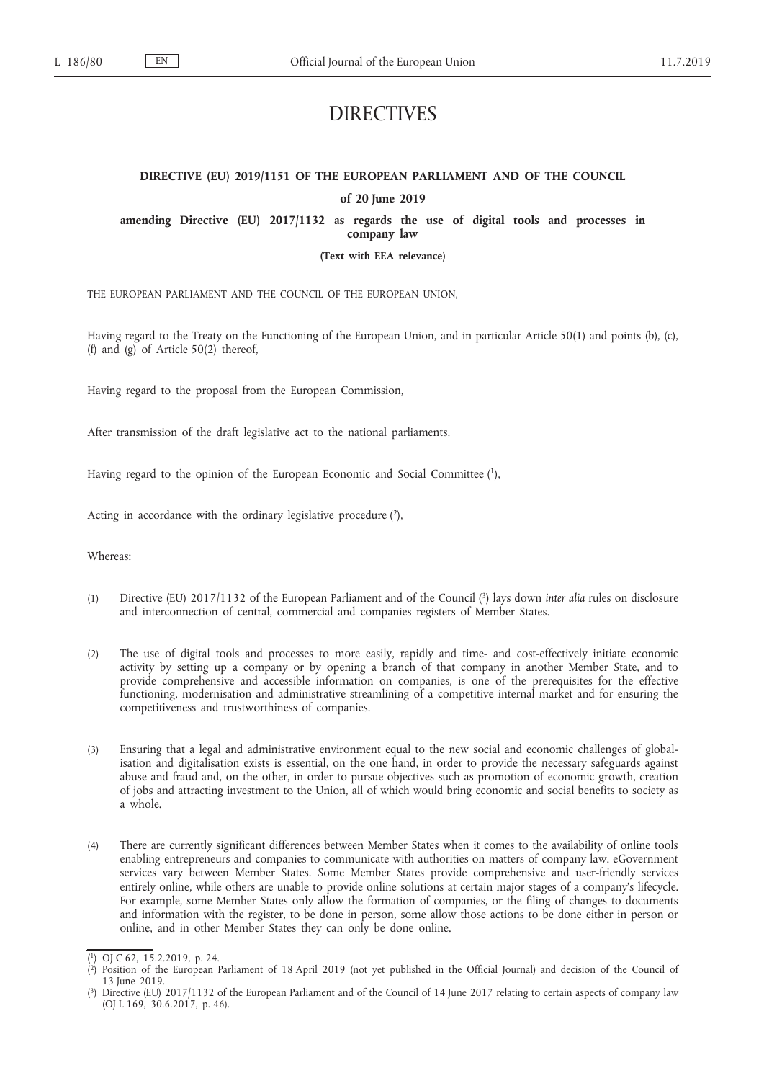# DIRECTIVES

# **DIRECTIVE (EU) 2019/1151 OF THE EUROPEAN PARLIAMENT AND OF THE COUNCIL of 20 June 2019**

**amending Directive (EU) 2017/1132 as regards the use of digital tools and processes in company law**

**(Text with EEA relevance)**

THE EUROPEAN PARLIAMENT AND THE COUNCIL OF THE EUROPEAN UNION,

Having regard to the Treaty on the Functioning of the European Union, and in particular Article 50(1) and points (b), (c), (f) and (g) of Article 50(2) thereof,

Having regard to the proposal from the European Commission,

After transmission of the draft legislative act to the national parliaments,

Having regard to the opinion of the European Economic and Social Committee (1),

Acting in accordance with the ordinary legislative procedure  $(2)$ ,

Whereas:

- (1) Directive (EU) 2017/1132 of the European Parliament and of the Council (3) lays down *inter alia* rules on disclosure and interconnection of central, commercial and companies registers of Member States.
- (2) The use of digital tools and processes to more easily, rapidly and time- and cost-effectively initiate economic activity by setting up a company or by opening a branch of that company in another Member State, and to provide comprehensive and accessible information on companies, is one of the prerequisites for the effective functioning, modernisation and administrative streamlining of a competitive internal market and for ensuring the competitiveness and trustworthiness of companies.
- (3) Ensuring that a legal and administrative environment equal to the new social and economic challenges of globalisation and digitalisation exists is essential, on the one hand, in order to provide the necessary safeguards against abuse and fraud and, on the other, in order to pursue objectives such as promotion of economic growth, creation of jobs and attracting investment to the Union, all of which would bring economic and social benefits to society as a whole.
- (4) There are currently significant differences between Member States when it comes to the availability of online tools enabling entrepreneurs and companies to communicate with authorities on matters of company law. eGovernment services vary between Member States. Some Member States provide comprehensive and user-friendly services entirely online, while others are unable to provide online solutions at certain major stages of a company's lifecycle. For example, some Member States only allow the formation of companies, or the filing of changes to documents and information with the register, to be done in person, some allow those actions to be done either in person or online, and in other Member States they can only be done online.

<sup>(</sup> 1) OJ C 62, 15.2.2019, p. 24.

<sup>(</sup> 2) Position of the European Parliament of 18 April 2019 (not yet published in the Official Journal) and decision of the Council of 13 June 2019.

<sup>(</sup> Directive (EU) 2017/1132 of the European Parliament and of the Council of 14 June 2017 relating to certain aspects of company law (OJ L 169, 30.6.2017, p. 46).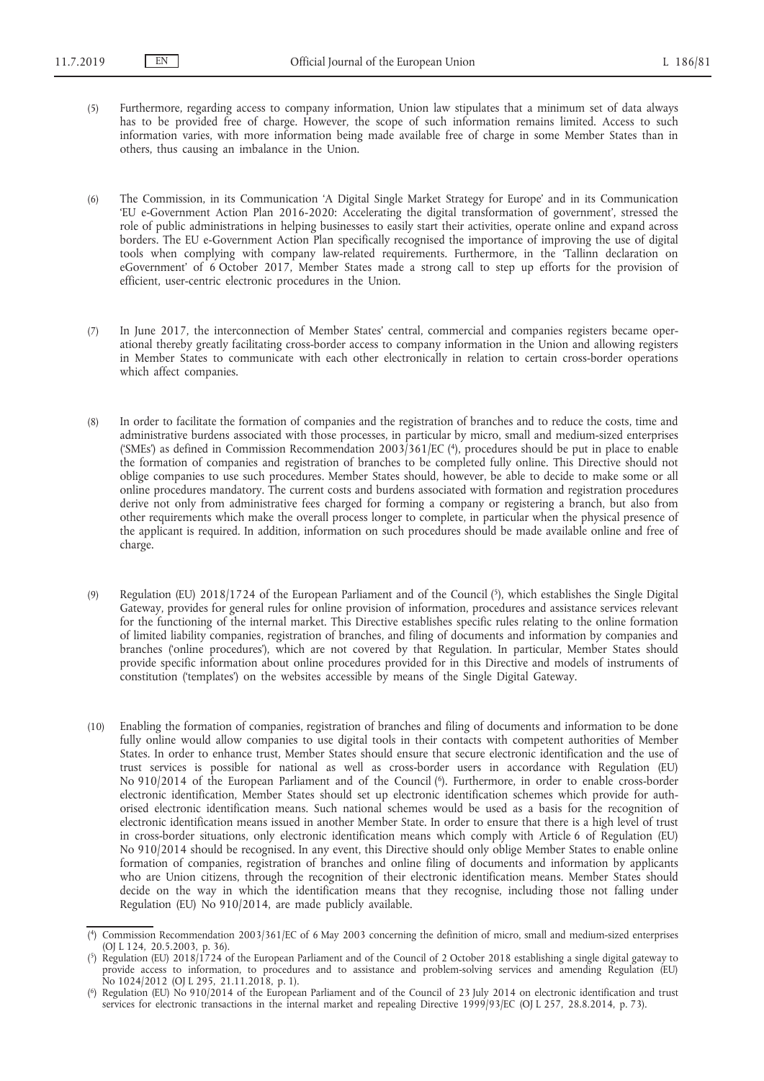(5) Furthermore, regarding access to company information, Union law stipulates that a minimum set of data always has to be provided free of charge. However, the scope of such information remains limited. Access to such information varies, with more information being made available free of charge in some Member States than in others, thus causing an imbalance in the Union.

(6) The Commission, in its Communication 'A Digital Single Market Strategy for Europe' and in its Communication 'EU e-Government Action Plan 2016-2020: Accelerating the digital transformation of government', stressed the role of public administrations in helping businesses to easily start their activities, operate online and expand across borders. The EU e-Government Action Plan specifically recognised the importance of improving the use of digital tools when complying with company law-related requirements. Furthermore, in the 'Tallinn declaration on eGovernment' of 6 October 2017, Member States made a strong call to step up efforts for the provision of efficient, user-centric electronic procedures in the Union.

- (7) In June 2017, the interconnection of Member States' central, commercial and companies registers became operational thereby greatly facilitating cross-border access to company information in the Union and allowing registers in Member States to communicate with each other electronically in relation to certain cross-border operations which affect companies.
- (8) In order to facilitate the formation of companies and the registration of branches and to reduce the costs, time and administrative burdens associated with those processes, in particular by micro, small and medium-sized enterprises ('SMEs') as defined in Commission Recommendation 2003/361/EC (4), procedures should be put in place to enable the formation of companies and registration of branches to be completed fully online. This Directive should not oblige companies to use such procedures. Member States should, however, be able to decide to make some or all online procedures mandatory. The current costs and burdens associated with formation and registration procedures derive not only from administrative fees charged for forming a company or registering a branch, but also from other requirements which make the overall process longer to complete, in particular when the physical presence of the applicant is required. In addition, information on such procedures should be made available online and free of charge.
- (9) Regulation (EU) 2018/1724 of the European Parliament and of the Council (5), which establishes the Single Digital Gateway, provides for general rules for online provision of information, procedures and assistance services relevant for the functioning of the internal market. This Directive establishes specific rules relating to the online formation of limited liability companies, registration of branches, and filing of documents and information by companies and branches ('online procedures'), which are not covered by that Regulation. In particular, Member States should provide specific information about online procedures provided for in this Directive and models of instruments of constitution ('templates') on the websites accessible by means of the Single Digital Gateway.
- (10) Enabling the formation of companies, registration of branches and filing of documents and information to be done fully online would allow companies to use digital tools in their contacts with competent authorities of Member States. In order to enhance trust, Member States should ensure that secure electronic identification and the use of trust services is possible for national as well as cross-border users in accordance with Regulation (EU) No 910/2014 of the European Parliament and of the Council <sup>(6)</sup>. Furthermore, in order to enable cross-border electronic identification, Member States should set up electronic identification schemes which provide for authorised electronic identification means. Such national schemes would be used as a basis for the recognition of electronic identification means issued in another Member State. In order to ensure that there is a high level of trust in cross-border situations, only electronic identification means which comply with Article 6 of Regulation (EU) No 910/2014 should be recognised. In any event, this Directive should only oblige Member States to enable online formation of companies, registration of branches and online filing of documents and information by applicants who are Union citizens, through the recognition of their electronic identification means. Member States should decide on the way in which the identification means that they recognise, including those not falling under Regulation (EU) No 910/2014, are made publicly available.

<sup>(</sup> 4) Commission Recommendation 2003/361/EC of 6 May 2003 concerning the definition of micro, small and medium-sized enterprises (OJ L 124, 20.5.2003, p. 36).

<sup>(</sup> 5) Regulation (EU) 2018/1724 of the European Parliament and of the Council of 2 October 2018 establishing a single digital gateway to provide access to information, to procedures and to assistance and problem-solving services and amending Regulation (EU) No 1024/2012 (OJ L 295, 21.11.2018, p. 1).

<sup>(</sup> 6) Regulation (EU) No 910/2014 of the European Parliament and of the Council of 23 July 2014 on electronic identification and trust services for electronic transactions in the internal market and repealing Directive 1999/93/EC (OJ L 257, 28.8.2014, p. 73).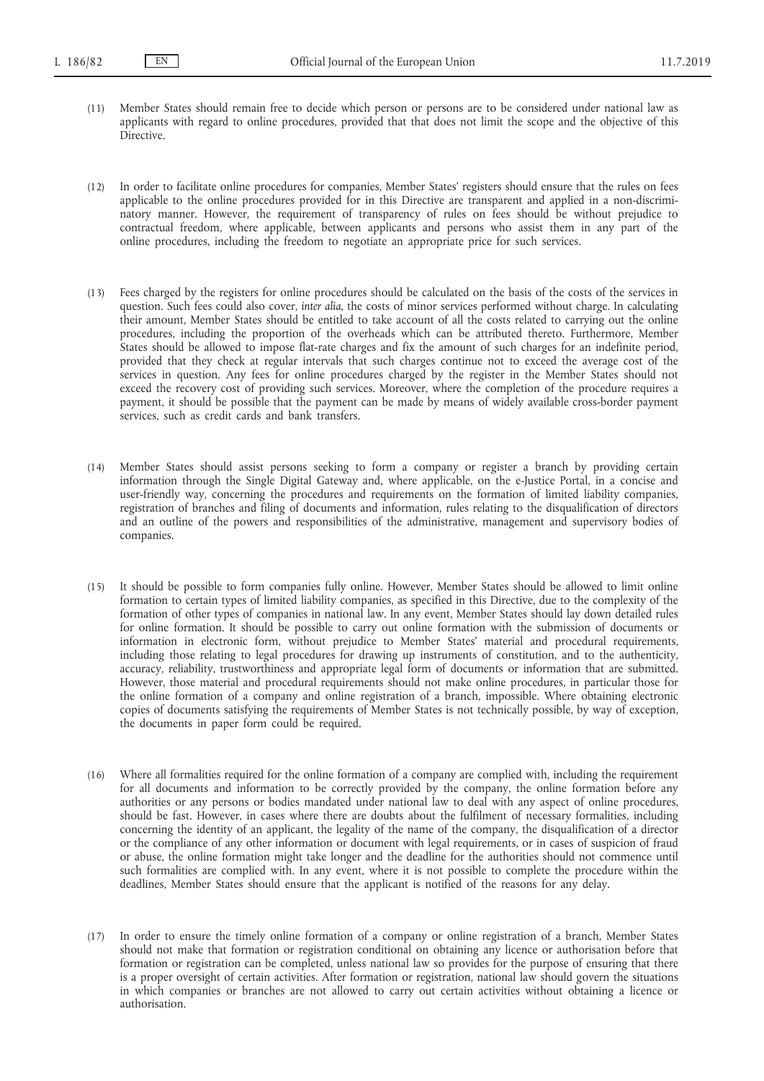- (11) Member States should remain free to decide which person or persons are to be considered under national law as applicants with regard to online procedures, provided that that does not limit the scope and the objective of this Directive.
- (12) In order to facilitate online procedures for companies, Member States' registers should ensure that the rules on fees applicable to the online procedures provided for in this Directive are transparent and applied in a non-discriminatory manner. However, the requirement of transparency of rules on fees should be without prejudice to contractual freedom, where applicable, between applicants and persons who assist them in any part of the online procedures, including the freedom to negotiate an appropriate price for such services.
- (13) Fees charged by the registers for online procedures should be calculated on the basis of the costs of the services in question. Such fees could also cover, *inter alia*, the costs of minor services performed without charge. In calculating their amount, Member States should be entitled to take account of all the costs related to carrying out the online procedures, including the proportion of the overheads which can be attributed thereto. Furthermore, Member States should be allowed to impose flat-rate charges and fix the amount of such charges for an indefinite period, provided that they check at regular intervals that such charges continue not to exceed the average cost of the services in question. Any fees for online procedures charged by the register in the Member States should not exceed the recovery cost of providing such services. Moreover, where the completion of the procedure requires a payment, it should be possible that the payment can be made by means of widely available cross-border payment services, such as credit cards and bank transfers.
- (14) Member States should assist persons seeking to form a company or register a branch by providing certain information through the Single Digital Gateway and, where applicable, on the e-Justice Portal, in a concise and user-friendly way, concerning the procedures and requirements on the formation of limited liability companies, registration of branches and filing of documents and information, rules relating to the disqualification of directors and an outline of the powers and responsibilities of the administrative, management and supervisory bodies of companies.
- (15) It should be possible to form companies fully online. However, Member States should be allowed to limit online formation to certain types of limited liability companies, as specified in this Directive, due to the complexity of the formation of other types of companies in national law. In any event, Member States should lay down detailed rules for online formation. It should be possible to carry out online formation with the submission of documents or information in electronic form, without prejudice to Member States' material and procedural requirements, including those relating to legal procedures for drawing up instruments of constitution, and to the authenticity, accuracy, reliability, trustworthiness and appropriate legal form of documents or information that are submitted. However, those material and procedural requirements should not make online procedures, in particular those for the online formation of a company and online registration of a branch, impossible. Where obtaining electronic copies of documents satisfying the requirements of Member States is not technically possible, by way of exception, the documents in paper form could be required.
- (16) Where all formalities required for the online formation of a company are complied with, including the requirement for all documents and information to be correctly provided by the company, the online formation before any authorities or any persons or bodies mandated under national law to deal with any aspect of online procedures, should be fast. However, in cases where there are doubts about the fulfilment of necessary formalities, including concerning the identity of an applicant, the legality of the name of the company, the disqualification of a director or the compliance of any other information or document with legal requirements, or in cases of suspicion of fraud or abuse, the online formation might take longer and the deadline for the authorities should not commence until such formalities are complied with. In any event, where it is not possible to complete the procedure within the deadlines, Member States should ensure that the applicant is notified of the reasons for any delay.
- (17) In order to ensure the timely online formation of a company or online registration of a branch, Member States should not make that formation or registration conditional on obtaining any licence or authorisation before that formation or registration can be completed, unless national law so provides for the purpose of ensuring that there is a proper oversight of certain activities. After formation or registration, national law should govern the situations in which companies or branches are not allowed to carry out certain activities without obtaining a licence or authorisation.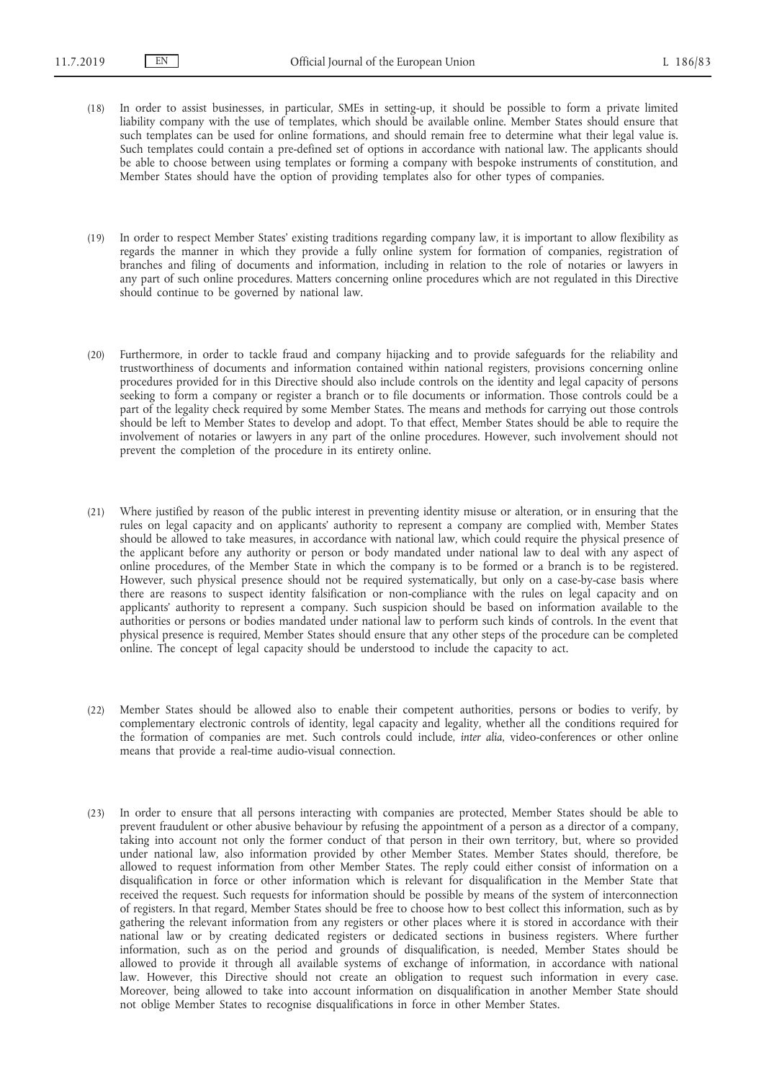- (18) In order to assist businesses, in particular, SMEs in setting-up, it should be possible to form a private limited liability company with the use of templates, which should be available online. Member States should ensure that such templates can be used for online formations, and should remain free to determine what their legal value is. Such templates could contain a pre-defined set of options in accordance with national law. The applicants should be able to choose between using templates or forming a company with bespoke instruments of constitution, and Member States should have the option of providing templates also for other types of companies.
- (19) In order to respect Member States' existing traditions regarding company law, it is important to allow flexibility as regards the manner in which they provide a fully online system for formation of companies, registration of branches and filing of documents and information, including in relation to the role of notaries or lawyers in any part of such online procedures. Matters concerning online procedures which are not regulated in this Directive should continue to be governed by national law.
- (20) Furthermore, in order to tackle fraud and company hijacking and to provide safeguards for the reliability and trustworthiness of documents and information contained within national registers, provisions concerning online procedures provided for in this Directive should also include controls on the identity and legal capacity of persons seeking to form a company or register a branch or to file documents or information. Those controls could be a part of the legality check required by some Member States. The means and methods for carrying out those controls should be left to Member States to develop and adopt. To that effect, Member States should be able to require the involvement of notaries or lawyers in any part of the online procedures. However, such involvement should not prevent the completion of the procedure in its entirety online.
- (21) Where justified by reason of the public interest in preventing identity misuse or alteration, or in ensuring that the rules on legal capacity and on applicants' authority to represent a company are complied with, Member States should be allowed to take measures, in accordance with national law, which could require the physical presence of the applicant before any authority or person or body mandated under national law to deal with any aspect of online procedures, of the Member State in which the company is to be formed or a branch is to be registered. However, such physical presence should not be required systematically, but only on a case-by-case basis where there are reasons to suspect identity falsification or non-compliance with the rules on legal capacity and on applicants' authority to represent a company. Such suspicion should be based on information available to the authorities or persons or bodies mandated under national law to perform such kinds of controls. In the event that physical presence is required, Member States should ensure that any other steps of the procedure can be completed online. The concept of legal capacity should be understood to include the capacity to act.
- (22) Member States should be allowed also to enable their competent authorities, persons or bodies to verify, by complementary electronic controls of identity, legal capacity and legality, whether all the conditions required for the formation of companies are met. Such controls could include, *inter alia*, video-conferences or other online means that provide a real-time audio-visual connection.
- (23) In order to ensure that all persons interacting with companies are protected, Member States should be able to prevent fraudulent or other abusive behaviour by refusing the appointment of a person as a director of a company, taking into account not only the former conduct of that person in their own territory, but, where so provided under national law, also information provided by other Member States. Member States should, therefore, be allowed to request information from other Member States. The reply could either consist of information on a disqualification in force or other information which is relevant for disqualification in the Member State that received the request. Such requests for information should be possible by means of the system of interconnection of registers. In that regard, Member States should be free to choose how to best collect this information, such as by gathering the relevant information from any registers or other places where it is stored in accordance with their national law or by creating dedicated registers or dedicated sections in business registers. Where further information, such as on the period and grounds of disqualification, is needed, Member States should be allowed to provide it through all available systems of exchange of information, in accordance with national law. However, this Directive should not create an obligation to request such information in every case. Moreover, being allowed to take into account information on disqualification in another Member State should not oblige Member States to recognise disqualifications in force in other Member States.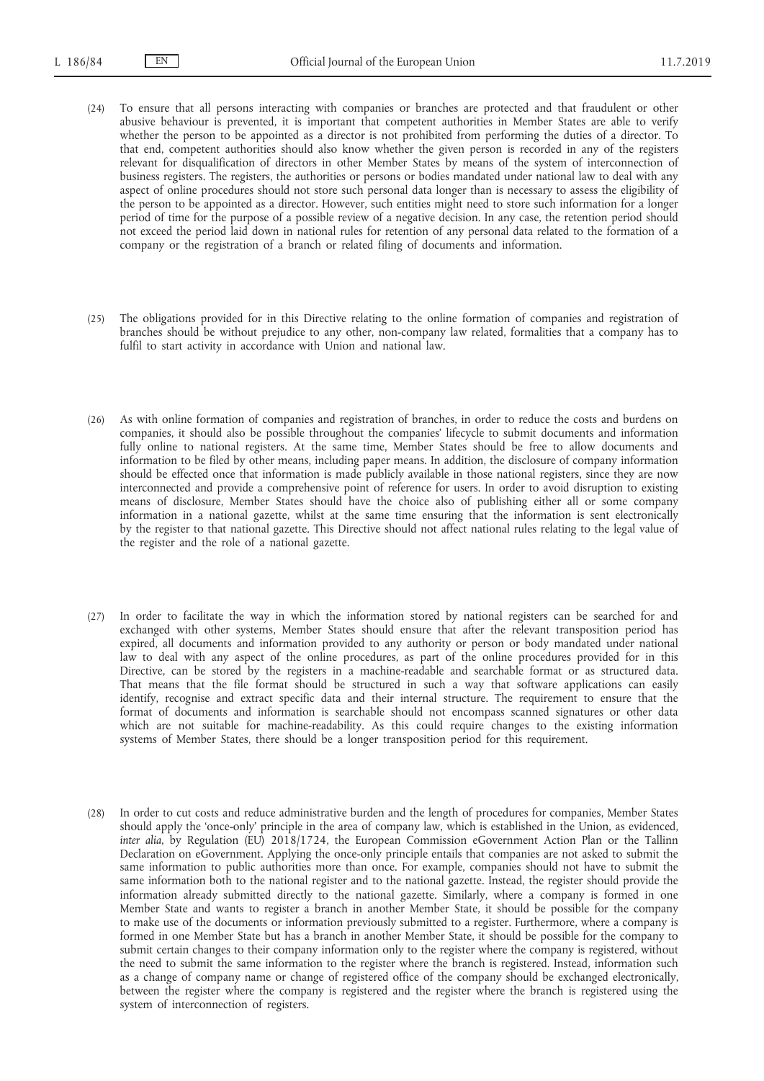- (24) To ensure that all persons interacting with companies or branches are protected and that fraudulent or other abusive behaviour is prevented, it is important that competent authorities in Member States are able to verify whether the person to be appointed as a director is not prohibited from performing the duties of a director. To that end, competent authorities should also know whether the given person is recorded in any of the registers relevant for disqualification of directors in other Member States by means of the system of interconnection of business registers. The registers, the authorities or persons or bodies mandated under national law to deal with any aspect of online procedures should not store such personal data longer than is necessary to assess the eligibility of the person to be appointed as a director. However, such entities might need to store such information for a longer period of time for the purpose of a possible review of a negative decision. In any case, the retention period should not exceed the period laid down in national rules for retention of any personal data related to the formation of a company or the registration of a branch or related filing of documents and information.
- (25) The obligations provided for in this Directive relating to the online formation of companies and registration of branches should be without prejudice to any other, non-company law related, formalities that a company has to fulfil to start activity in accordance with Union and national law.
- (26) As with online formation of companies and registration of branches, in order to reduce the costs and burdens on companies, it should also be possible throughout the companies' lifecycle to submit documents and information fully online to national registers. At the same time, Member States should be free to allow documents and information to be filed by other means, including paper means. In addition, the disclosure of company information should be effected once that information is made publicly available in those national registers, since they are now interconnected and provide a comprehensive point of reference for users. In order to avoid disruption to existing means of disclosure, Member States should have the choice also of publishing either all or some company information in a national gazette, whilst at the same time ensuring that the information is sent electronically by the register to that national gazette. This Directive should not affect national rules relating to the legal value of the register and the role of a national gazette.
- (27) In order to facilitate the way in which the information stored by national registers can be searched for and exchanged with other systems, Member States should ensure that after the relevant transposition period has expired, all documents and information provided to any authority or person or body mandated under national law to deal with any aspect of the online procedures, as part of the online procedures provided for in this Directive, can be stored by the registers in a machine-readable and searchable format or as structured data. That means that the file format should be structured in such a way that software applications can easily identify, recognise and extract specific data and their internal structure. The requirement to ensure that the format of documents and information is searchable should not encompass scanned signatures or other data which are not suitable for machine-readability. As this could require changes to the existing information systems of Member States, there should be a longer transposition period for this requirement.
- (28) In order to cut costs and reduce administrative burden and the length of procedures for companies, Member States should apply the 'once-only' principle in the area of company law, which is established in the Union, as evidenced, *inter alia*, by Regulation (EU) 2018/1724, the European Commission eGovernment Action Plan or the Tallinn Declaration on eGovernment. Applying the once-only principle entails that companies are not asked to submit the same information to public authorities more than once. For example, companies should not have to submit the same information both to the national register and to the national gazette. Instead, the register should provide the information already submitted directly to the national gazette. Similarly, where a company is formed in one Member State and wants to register a branch in another Member State, it should be possible for the company to make use of the documents or information previously submitted to a register. Furthermore, where a company is formed in one Member State but has a branch in another Member State, it should be possible for the company to submit certain changes to their company information only to the register where the company is registered, without the need to submit the same information to the register where the branch is registered. Instead, information such as a change of company name or change of registered office of the company should be exchanged electronically, between the register where the company is registered and the register where the branch is registered using the system of interconnection of registers.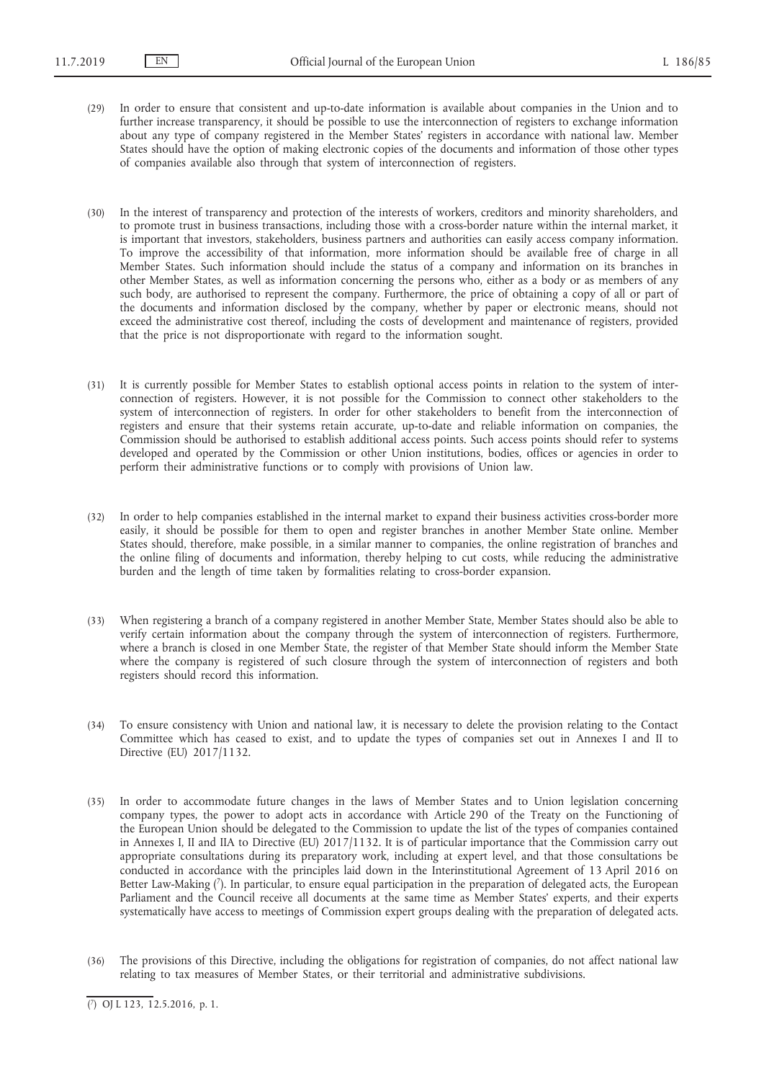- (29) In order to ensure that consistent and up-to-date information is available about companies in the Union and to further increase transparency, it should be possible to use the interconnection of registers to exchange information about any type of company registered in the Member States' registers in accordance with national law. Member States should have the option of making electronic copies of the documents and information of those other types of companies available also through that system of interconnection of registers.
- (30) In the interest of transparency and protection of the interests of workers, creditors and minority shareholders, and to promote trust in business transactions, including those with a cross-border nature within the internal market, it is important that investors, stakeholders, business partners and authorities can easily access company information. To improve the accessibility of that information, more information should be available free of charge in all Member States. Such information should include the status of a company and information on its branches in other Member States, as well as information concerning the persons who, either as a body or as members of any such body, are authorised to represent the company. Furthermore, the price of obtaining a copy of all or part of the documents and information disclosed by the company, whether by paper or electronic means, should not exceed the administrative cost thereof, including the costs of development and maintenance of registers, provided that the price is not disproportionate with regard to the information sought.
- (31) It is currently possible for Member States to establish optional access points in relation to the system of interconnection of registers. However, it is not possible for the Commission to connect other stakeholders to the system of interconnection of registers. In order for other stakeholders to benefit from the interconnection of registers and ensure that their systems retain accurate, up-to-date and reliable information on companies, the Commission should be authorised to establish additional access points. Such access points should refer to systems developed and operated by the Commission or other Union institutions, bodies, offices or agencies in order to perform their administrative functions or to comply with provisions of Union law.
- (32) In order to help companies established in the internal market to expand their business activities cross-border more easily, it should be possible for them to open and register branches in another Member State online. Member States should, therefore, make possible, in a similar manner to companies, the online registration of branches and the online filing of documents and information, thereby helping to cut costs, while reducing the administrative burden and the length of time taken by formalities relating to cross-border expansion.
- (33) When registering a branch of a company registered in another Member State, Member States should also be able to verify certain information about the company through the system of interconnection of registers. Furthermore, where a branch is closed in one Member State, the register of that Member State should inform the Member State where the company is registered of such closure through the system of interconnection of registers and both registers should record this information.
- (34) To ensure consistency with Union and national law, it is necessary to delete the provision relating to the Contact Committee which has ceased to exist, and to update the types of companies set out in Annexes I and II to Directive (EU) 2017/1132.
- (35) In order to accommodate future changes in the laws of Member States and to Union legislation concerning company types, the power to adopt acts in accordance with Article 290 of the Treaty on the Functioning of the European Union should be delegated to the Commission to update the list of the types of companies contained in Annexes I, II and IIA to Directive (EU) 2017/1132. It is of particular importance that the Commission carry out appropriate consultations during its preparatory work, including at expert level, and that those consultations be conducted in accordance with the principles laid down in the Interinstitutional Agreement of 13 April 2016 on Better Law-Making (7). In particular, to ensure equal participation in the preparation of delegated acts, the European Parliament and the Council receive all documents at the same time as Member States' experts, and their experts systematically have access to meetings of Commission expert groups dealing with the preparation of delegated acts.
- (36) The provisions of this Directive, including the obligations for registration of companies, do not affect national law relating to tax measures of Member States, or their territorial and administrative subdivisions.

<sup>(</sup> 7) OJ L 123, 12.5.2016, p. 1.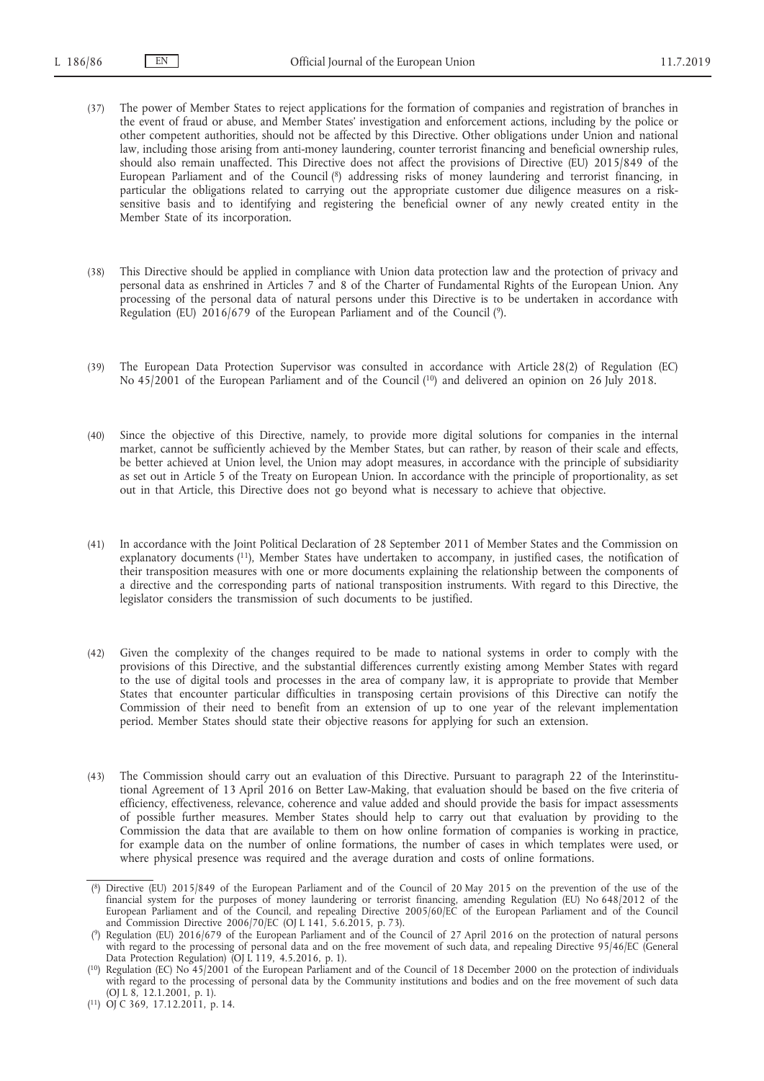- (37) The power of Member States to reject applications for the formation of companies and registration of branches in the event of fraud or abuse, and Member States' investigation and enforcement actions, including by the police or other competent authorities, should not be affected by this Directive. Other obligations under Union and national law, including those arising from anti-money laundering, counter terrorist financing and beneficial ownership rules, should also remain unaffected. This Directive does not affect the provisions of Directive (EU) 2015/849 of the European Parliament and of the Council (8) addressing risks of money laundering and terrorist financing, in particular the obligations related to carrying out the appropriate customer due diligence measures on a risksensitive basis and to identifying and registering the beneficial owner of any newly created entity in the Member State of its incorporation.
- (38) This Directive should be applied in compliance with Union data protection law and the protection of privacy and personal data as enshrined in Articles 7 and 8 of the Charter of Fundamental Rights of the European Union. Any processing of the personal data of natural persons under this Directive is to be undertaken in accordance with Regulation (EU) 2016/679 of the European Parliament and of the Council (9).
- (39) The European Data Protection Supervisor was consulted in accordance with Article 28(2) of Regulation (EC) No 45/2001 of the European Parliament and of the Council (10) and delivered an opinion on 26 July 2018.
- (40) Since the objective of this Directive, namely, to provide more digital solutions for companies in the internal market, cannot be sufficiently achieved by the Member States, but can rather, by reason of their scale and effects, be better achieved at Union level, the Union may adopt measures, in accordance with the principle of subsidiarity as set out in Article 5 of the Treaty on European Union. In accordance with the principle of proportionality, as set out in that Article, this Directive does not go beyond what is necessary to achieve that objective.
- (41) In accordance with the Joint Political Declaration of 28 September 2011 of Member States and the Commission on explanatory documents (11), Member States have undertaken to accompany, in justified cases, the notification of their transposition measures with one or more documents explaining the relationship between the components of a directive and the corresponding parts of national transposition instruments. With regard to this Directive, the legislator considers the transmission of such documents to be justified.
- (42) Given the complexity of the changes required to be made to national systems in order to comply with the provisions of this Directive, and the substantial differences currently existing among Member States with regard to the use of digital tools and processes in the area of company law, it is appropriate to provide that Member States that encounter particular difficulties in transposing certain provisions of this Directive can notify the Commission of their need to benefit from an extension of up to one year of the relevant implementation period. Member States should state their objective reasons for applying for such an extension.
- (43) The Commission should carry out an evaluation of this Directive. Pursuant to paragraph 22 of the Interinstitutional Agreement of 13 April 2016 on Better Law-Making, that evaluation should be based on the five criteria of efficiency, effectiveness, relevance, coherence and value added and should provide the basis for impact assessments of possible further measures. Member States should help to carry out that evaluation by providing to the Commission the data that are available to them on how online formation of companies is working in practice, for example data on the number of online formations, the number of cases in which templates were used, or where physical presence was required and the average duration and costs of online formations.

<sup>(</sup> 8) Directive (EU) 2015/849 of the European Parliament and of the Council of 20 May 2015 on the prevention of the use of the financial system for the purposes of money laundering or terrorist financing, amending Regulation (EU) No 648/2012 of the European Parliament and of the Council, and repealing Directive 2005/60/EC of the European Parliament and of the Council and Commission Directive 2006/70/EC (OJ L 141, 5.6.2015, p. 73).

<sup>(</sup> 9) Regulation (EU) 2016/679 of the European Parliament and of the Council of 27 April 2016 on the protection of natural persons with regard to the processing of personal data and on the free movement of such data, and repealing Directive 95/46/EC (General Data Protection Regulation) (OJ L 119, 4.5.2016, p. 1).

<sup>(</sup> 10) Regulation (EC) No 45/2001 of the European Parliament and of the Council of 18 December 2000 on the protection of individuals with regard to the processing of personal data by the Community institutions and bodies and on the free movement of such data (OJ L 8, 12.1.2001, p. 1).

<sup>(</sup> 11) OJ C 369, 17.12.2011, p. 14.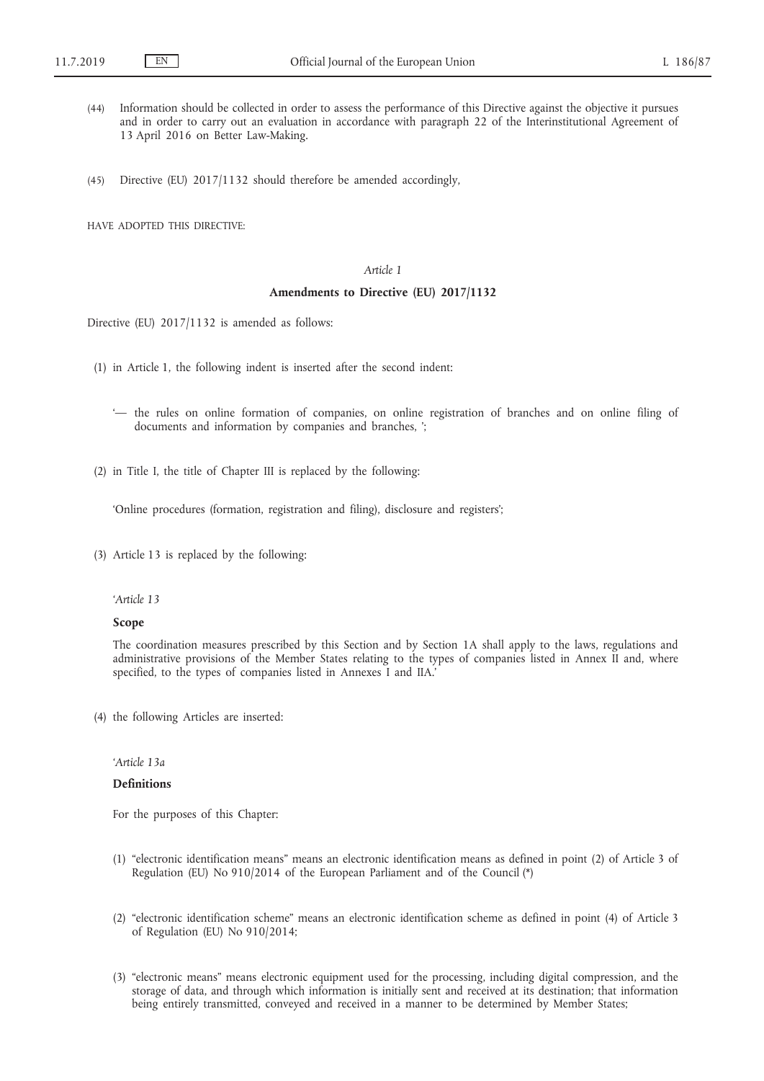- (44) Information should be collected in order to assess the performance of this Directive against the objective it pursues and in order to carry out an evaluation in accordance with paragraph 22 of the Interinstitutional Agreement of 13 April 2016 on Better Law-Making.
- (45) Directive (EU) 2017/1132 should therefore be amended accordingly,

HAVE ADOPTED THIS DIRECTIVE:

#### *Article 1*

#### **Amendments to Directive (EU) 2017/1132**

Directive (EU) 2017/1132 is amended as follows:

(1) in Article 1, the following indent is inserted after the second indent:

- '— the rules on online formation of companies, on online registration of branches and on online filing of documents and information by companies and branches, ';
- (2) in Title I, the title of Chapter III is replaced by the following:

'Online procedures (formation, registration and filing), disclosure and registers';

(3) Article 13 is replaced by the following:

*'Article 13*

### **Scope**

The coordination measures prescribed by this Section and by Section 1A shall apply to the laws, regulations and administrative provisions of the Member States relating to the types of companies listed in Annex II and, where specified, to the types of companies listed in Annexes I and IIA.'

(4) the following Articles are inserted:

*'Article 13a*

## **Definitions**

For the purposes of this Chapter:

- (1) "electronic identification means" means an electronic identification means as defined in point (2) of Article 3 of Regulation (EU) No 910/2014 of the European Parliament and of the Council (\*)
- (2) "electronic identification scheme" means an electronic identification scheme as defined in point (4) of Article 3 of Regulation (EU) No 910/2014;
- (3) "electronic means" means electronic equipment used for the processing, including digital compression, and the storage of data, and through which information is initially sent and received at its destination; that information being entirely transmitted, conveyed and received in a manner to be determined by Member States;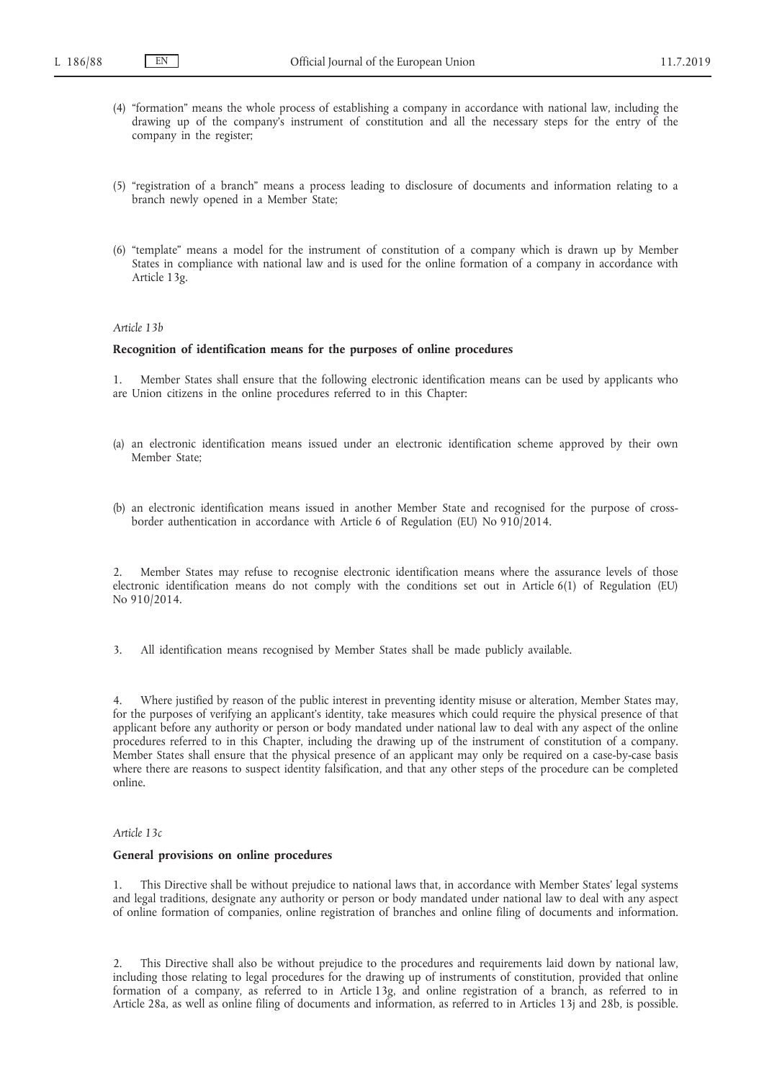- (4) "formation" means the whole process of establishing a company in accordance with national law, including the drawing up of the company's instrument of constitution and all the necessary steps for the entry of the company in the register;
- (5) "registration of a branch" means a process leading to disclosure of documents and information relating to a branch newly opened in a Member State;
- (6) "template" means a model for the instrument of constitution of a company which is drawn up by Member States in compliance with national law and is used for the online formation of a company in accordance with Article 13g.

#### *Article 13b*

#### **Recognition of identification means for the purposes of online procedures**

1. Member States shall ensure that the following electronic identification means can be used by applicants who are Union citizens in the online procedures referred to in this Chapter:

- (a) an electronic identification means issued under an electronic identification scheme approved by their own Member State;
- (b) an electronic identification means issued in another Member State and recognised for the purpose of crossborder authentication in accordance with Article 6 of Regulation (EU) No 910/2014.

2. Member States may refuse to recognise electronic identification means where the assurance levels of those electronic identification means do not comply with the conditions set out in Article 6(1) of Regulation (EU) No 910/2014.

3. All identification means recognised by Member States shall be made publicly available.

4. Where justified by reason of the public interest in preventing identity misuse or alteration, Member States may, for the purposes of verifying an applicant's identity, take measures which could require the physical presence of that applicant before any authority or person or body mandated under national law to deal with any aspect of the online procedures referred to in this Chapter, including the drawing up of the instrument of constitution of a company. Member States shall ensure that the physical presence of an applicant may only be required on a case-by-case basis where there are reasons to suspect identity falsification, and that any other steps of the procedure can be completed online.

#### *Article 13c*

## **General provisions on online procedures**

1. This Directive shall be without prejudice to national laws that, in accordance with Member States' legal systems and legal traditions, designate any authority or person or body mandated under national law to deal with any aspect of online formation of companies, online registration of branches and online filing of documents and information.

2. This Directive shall also be without prejudice to the procedures and requirements laid down by national law, including those relating to legal procedures for the drawing up of instruments of constitution, provided that online formation of a company, as referred to in Article 13g, and online registration of a branch, as referred to in Article 28a, as well as online filing of documents and information, as referred to in Articles 13j and 28b, is possible.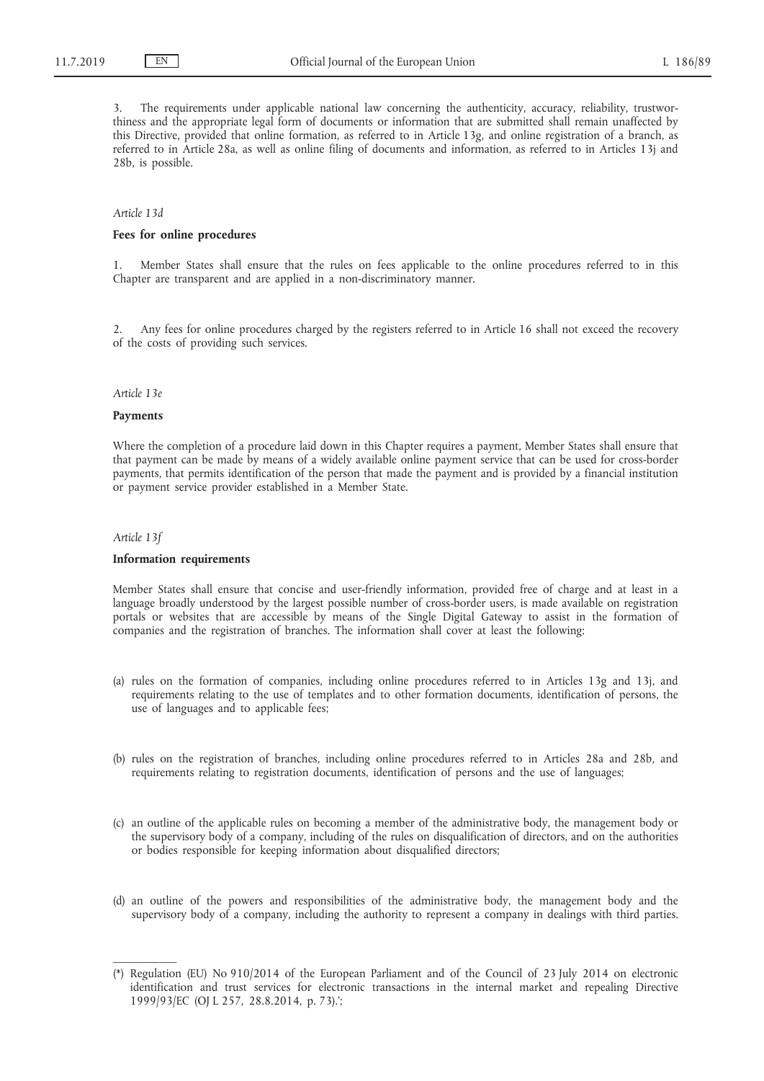The requirements under applicable national law concerning the authenticity, accuracy, reliability, trustworthiness and the appropriate legal form of documents or information that are submitted shall remain unaffected by this Directive, provided that online formation, as referred to in Article 13g, and online registration of a branch, as referred to in Article 28a, as well as online filing of documents and information, as referred to in Articles 13j and 28b, is possible.

#### *Article 13d*

## **Fees for online procedures**

1. Member States shall ensure that the rules on fees applicable to the online procedures referred to in this Chapter are transparent and are applied in a non-discriminatory manner.

2. Any fees for online procedures charged by the registers referred to in Article 16 shall not exceed the recovery of the costs of providing such services.

### *Article 13e*

## **Payments**

Where the completion of a procedure laid down in this Chapter requires a payment, Member States shall ensure that that payment can be made by means of a widely available online payment service that can be used for cross-border payments, that permits identification of the person that made the payment and is provided by a financial institution or payment service provider established in a Member State.

#### *Article 13f*

 $\frac{1}{2}$ 

#### **Information requirements**

Member States shall ensure that concise and user-friendly information, provided free of charge and at least in a language broadly understood by the largest possible number of cross-border users, is made available on registration portals or websites that are accessible by means of the Single Digital Gateway to assist in the formation of companies and the registration of branches. The information shall cover at least the following:

- (a) rules on the formation of companies, including online procedures referred to in Articles 13g and 13j, and requirements relating to the use of templates and to other formation documents, identification of persons, the use of languages and to applicable fees;
- (b) rules on the registration of branches, including online procedures referred to in Articles 28a and 28b, and requirements relating to registration documents, identification of persons and the use of languages;
- (c) an outline of the applicable rules on becoming a member of the administrative body, the management body or the supervisory body of a company, including of the rules on disqualification of directors, and on the authorities or bodies responsible for keeping information about disqualified directors;
- (d) an outline of the powers and responsibilities of the administrative body, the management body and the supervisory body of a company, including the authority to represent a company in dealings with third parties.

<sup>(\*)</sup> Regulation (EU) No 910/2014 of the European Parliament and of the Council of 23 July 2014 on electronic identification and trust services for electronic transactions in the internal market and repealing Directive 1999/93/EC (OJ L 257, 28.8.2014, p. 73).';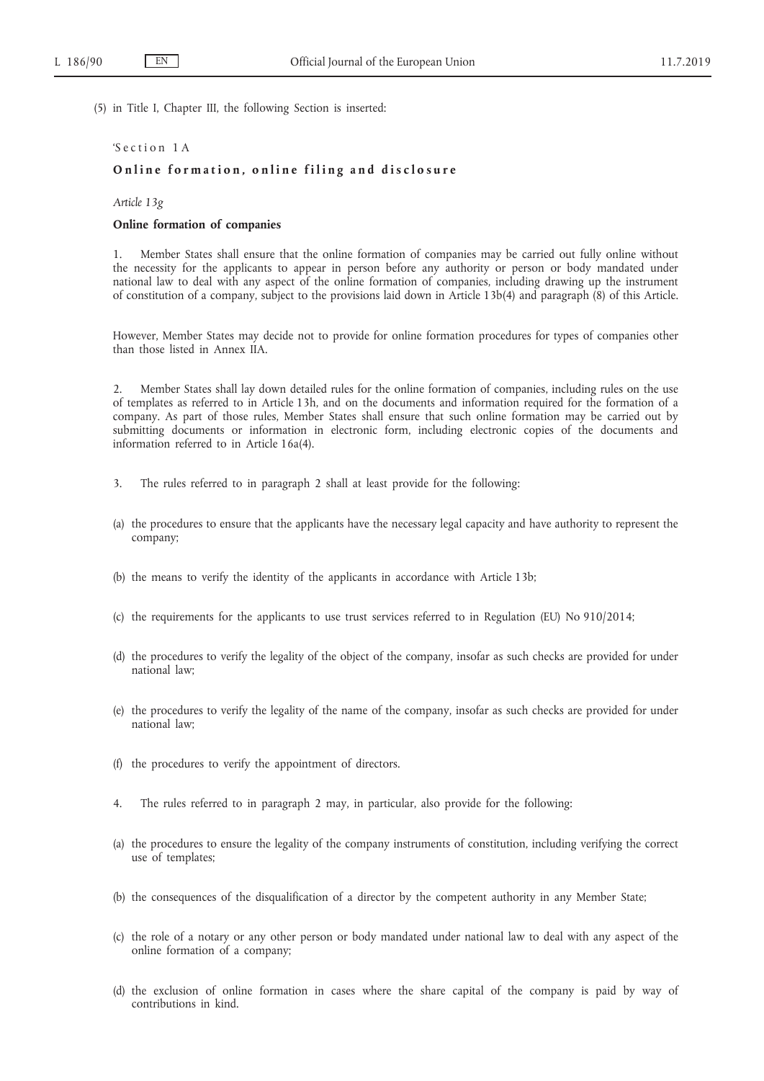(5) in Title I, Chapter III, the following Section is inserted:

# 'S e ction 1 A

#### **Online formation, online filing and disclosure**

*Article 13g*

# **Online formation of companies**

1. Member States shall ensure that the online formation of companies may be carried out fully online without the necessity for the applicants to appear in person before any authority or person or body mandated under national law to deal with any aspect of the online formation of companies, including drawing up the instrument of constitution of a company, subject to the provisions laid down in Article 13b(4) and paragraph (8) of this Article.

However, Member States may decide not to provide for online formation procedures for types of companies other than those listed in Annex IIA.

2. Member States shall lay down detailed rules for the online formation of companies, including rules on the use of templates as referred to in Article 13h, and on the documents and information required for the formation of a company. As part of those rules, Member States shall ensure that such online formation may be carried out by submitting documents or information in electronic form, including electronic copies of the documents and information referred to in Article 16a(4).

- 3. The rules referred to in paragraph 2 shall at least provide for the following:
- (a) the procedures to ensure that the applicants have the necessary legal capacity and have authority to represent the company;
- (b) the means to verify the identity of the applicants in accordance with Article 13b;
- (c) the requirements for the applicants to use trust services referred to in Regulation (EU) No 910/2014;
- (d) the procedures to verify the legality of the object of the company, insofar as such checks are provided for under national law;
- (e) the procedures to verify the legality of the name of the company, insofar as such checks are provided for under national law;
- (f) the procedures to verify the appointment of directors.
- 4. The rules referred to in paragraph 2 may, in particular, also provide for the following:
- (a) the procedures to ensure the legality of the company instruments of constitution, including verifying the correct use of templates;
- (b) the consequences of the disqualification of a director by the competent authority in any Member State;
- (c) the role of a notary or any other person or body mandated under national law to deal with any aspect of the online formation of a company;
- (d) the exclusion of online formation in cases where the share capital of the company is paid by way of contributions in kind.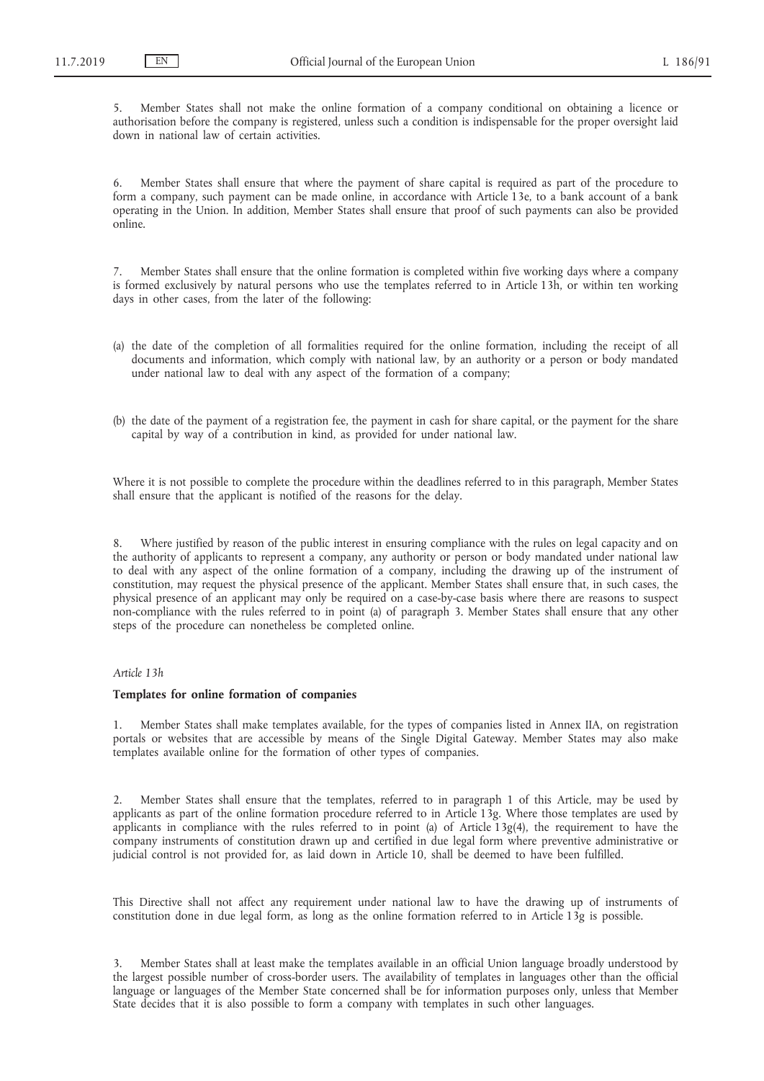5. Member States shall not make the online formation of a company conditional on obtaining a licence or authorisation before the company is registered, unless such a condition is indispensable for the proper oversight laid down in national law of certain activities.

6. Member States shall ensure that where the payment of share capital is required as part of the procedure to form a company, such payment can be made online, in accordance with Article 13e, to a bank account of a bank operating in the Union. In addition, Member States shall ensure that proof of such payments can also be provided online.

7. Member States shall ensure that the online formation is completed within five working days where a company is formed exclusively by natural persons who use the templates referred to in Article 13h, or within ten working days in other cases, from the later of the following:

- (a) the date of the completion of all formalities required for the online formation, including the receipt of all documents and information, which comply with national law, by an authority or a person or body mandated under national law to deal with any aspect of the formation of a company;
- (b) the date of the payment of a registration fee, the payment in cash for share capital, or the payment for the share capital by way of a contribution in kind, as provided for under national law.

Where it is not possible to complete the procedure within the deadlines referred to in this paragraph, Member States shall ensure that the applicant is notified of the reasons for the delay.

Where justified by reason of the public interest in ensuring compliance with the rules on legal capacity and on the authority of applicants to represent a company, any authority or person or body mandated under national law to deal with any aspect of the online formation of a company, including the drawing up of the instrument of constitution, may request the physical presence of the applicant. Member States shall ensure that, in such cases, the physical presence of an applicant may only be required on a case-by-case basis where there are reasons to suspect non-compliance with the rules referred to in point (a) of paragraph 3. Member States shall ensure that any other steps of the procedure can nonetheless be completed online.

## *Article 13h*

## **Templates for online formation of companies**

1. Member States shall make templates available, for the types of companies listed in Annex IIA, on registration portals or websites that are accessible by means of the Single Digital Gateway. Member States may also make templates available online for the formation of other types of companies.

2. Member States shall ensure that the templates, referred to in paragraph 1 of this Article, may be used by applicants as part of the online formation procedure referred to in Article 13g. Where those templates are used by applicants in compliance with the rules referred to in point (a) of Article 13g(4), the requirement to have the company instruments of constitution drawn up and certified in due legal form where preventive administrative or judicial control is not provided for, as laid down in Article 10, shall be deemed to have been fulfilled.

This Directive shall not affect any requirement under national law to have the drawing up of instruments of constitution done in due legal form, as long as the online formation referred to in Article 13g is possible.

3. Member States shall at least make the templates available in an official Union language broadly understood by the largest possible number of cross-border users. The availability of templates in languages other than the official language or languages of the Member State concerned shall be for information purposes only, unless that Member State decides that it is also possible to form a company with templates in such other languages.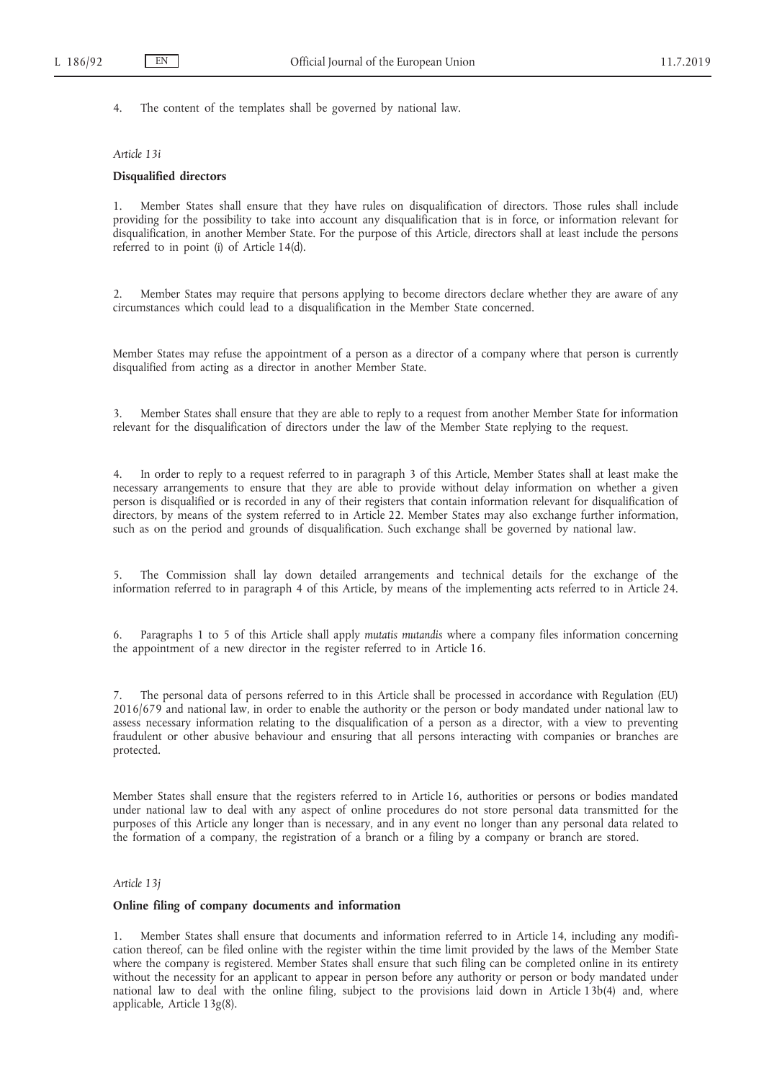4. The content of the templates shall be governed by national law.

#### *Article 13i*

## **Disqualified directors**

1. Member States shall ensure that they have rules on disqualification of directors. Those rules shall include providing for the possibility to take into account any disqualification that is in force, or information relevant for disqualification, in another Member State. For the purpose of this Article, directors shall at least include the persons referred to in point (i) of Article 14(d).

2. Member States may require that persons applying to become directors declare whether they are aware of any circumstances which could lead to a disqualification in the Member State concerned.

Member States may refuse the appointment of a person as a director of a company where that person is currently disqualified from acting as a director in another Member State.

3. Member States shall ensure that they are able to reply to a request from another Member State for information relevant for the disqualification of directors under the law of the Member State replying to the request.

4. In order to reply to a request referred to in paragraph 3 of this Article, Member States shall at least make the necessary arrangements to ensure that they are able to provide without delay information on whether a given person is disqualified or is recorded in any of their registers that contain information relevant for disqualification of directors, by means of the system referred to in Article 22. Member States may also exchange further information, such as on the period and grounds of disqualification. Such exchange shall be governed by national law.

5. The Commission shall lay down detailed arrangements and technical details for the exchange of the information referred to in paragraph 4 of this Article, by means of the implementing acts referred to in Article 24.

6. Paragraphs 1 to 5 of this Article shall apply *mutatis mutandis* where a company files information concerning the appointment of a new director in the register referred to in Article 16.

7. The personal data of persons referred to in this Article shall be processed in accordance with Regulation (EU) 2016/679 and national law, in order to enable the authority or the person or body mandated under national law to assess necessary information relating to the disqualification of a person as a director, with a view to preventing fraudulent or other abusive behaviour and ensuring that all persons interacting with companies or branches are protected.

Member States shall ensure that the registers referred to in Article 16, authorities or persons or bodies mandated under national law to deal with any aspect of online procedures do not store personal data transmitted for the purposes of this Article any longer than is necessary, and in any event no longer than any personal data related to the formation of a company, the registration of a branch or a filing by a company or branch are stored.

## *Article 13j*

## **Online filing of company documents and information**

1. Member States shall ensure that documents and information referred to in Article 14, including any modification thereof, can be filed online with the register within the time limit provided by the laws of the Member State where the company is registered. Member States shall ensure that such filing can be completed online in its entirety without the necessity for an applicant to appear in person before any authority or person or body mandated under national law to deal with the online filing, subject to the provisions laid down in Article 13b(4) and, where applicable, Article 13g(8).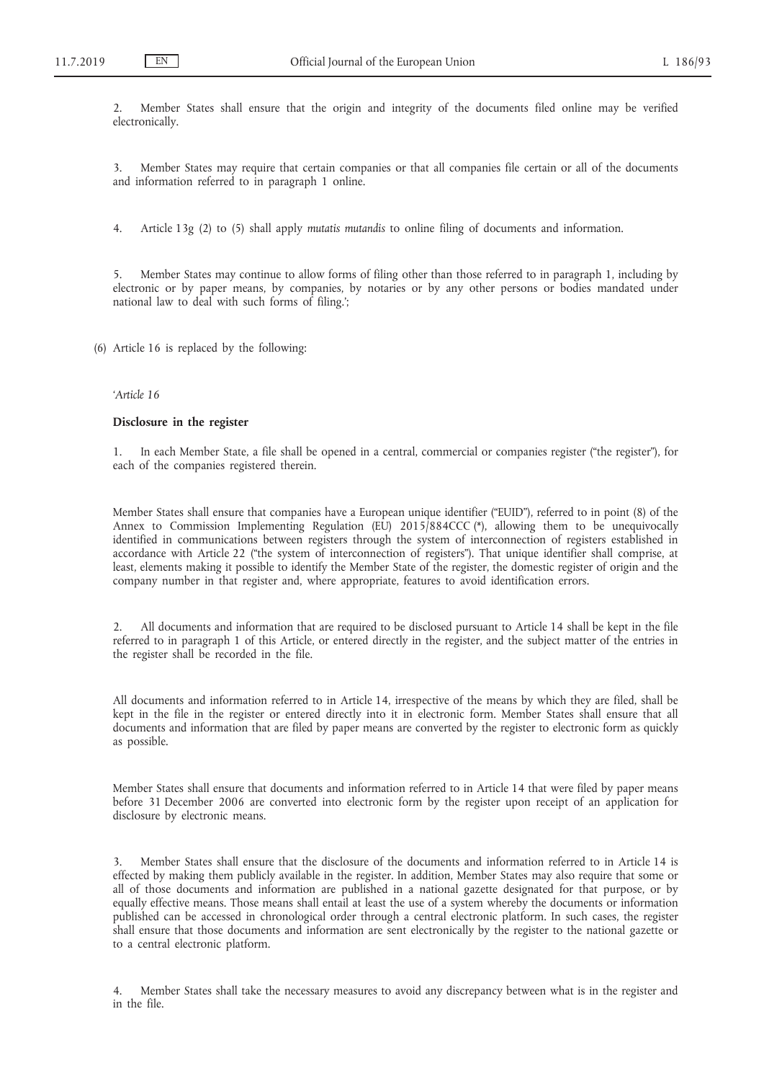2. Member States shall ensure that the origin and integrity of the documents filed online may be verified electronically.

3. Member States may require that certain companies or that all companies file certain or all of the documents and information referred to in paragraph 1 online.

4. Article 13g (2) to (5) shall apply *mutatis mutandis* to online filing of documents and information.

5. Member States may continue to allow forms of filing other than those referred to in paragraph 1, including by electronic or by paper means, by companies, by notaries or by any other persons or bodies mandated under national law to deal with such forms of filing.';

(6) Article 16 is replaced by the following:

## *'Article 16*

## **Disclosure in the register**

1. In each Member State, a file shall be opened in a central, commercial or companies register ("the register"), for each of the companies registered therein.

Member States shall ensure that companies have a European unique identifier ("EUID"), referred to in point (8) of the Annex to Commission Implementing Regulation (EU) 2015/884CCC (\*), allowing them to be unequivocally identified in communications between registers through the system of interconnection of registers established in accordance with Article 22 ("the system of interconnection of registers"). That unique identifier shall comprise, at least, elements making it possible to identify the Member State of the register, the domestic register of origin and the company number in that register and, where appropriate, features to avoid identification errors.

2. All documents and information that are required to be disclosed pursuant to Article 14 shall be kept in the file referred to in paragraph 1 of this Article, or entered directly in the register, and the subject matter of the entries in the register shall be recorded in the file.

All documents and information referred to in Article 14, irrespective of the means by which they are filed, shall be kept in the file in the register or entered directly into it in electronic form. Member States shall ensure that all documents and information that are filed by paper means are converted by the register to electronic form as quickly as possible.

Member States shall ensure that documents and information referred to in Article 14 that were filed by paper means before 31 December 2006 are converted into electronic form by the register upon receipt of an application for disclosure by electronic means.

3. Member States shall ensure that the disclosure of the documents and information referred to in Article 14 is effected by making them publicly available in the register. In addition, Member States may also require that some or all of those documents and information are published in a national gazette designated for that purpose, or by equally effective means. Those means shall entail at least the use of a system whereby the documents or information published can be accessed in chronological order through a central electronic platform. In such cases, the register shall ensure that those documents and information are sent electronically by the register to the national gazette or to a central electronic platform.

4. Member States shall take the necessary measures to avoid any discrepancy between what is in the register and in the file.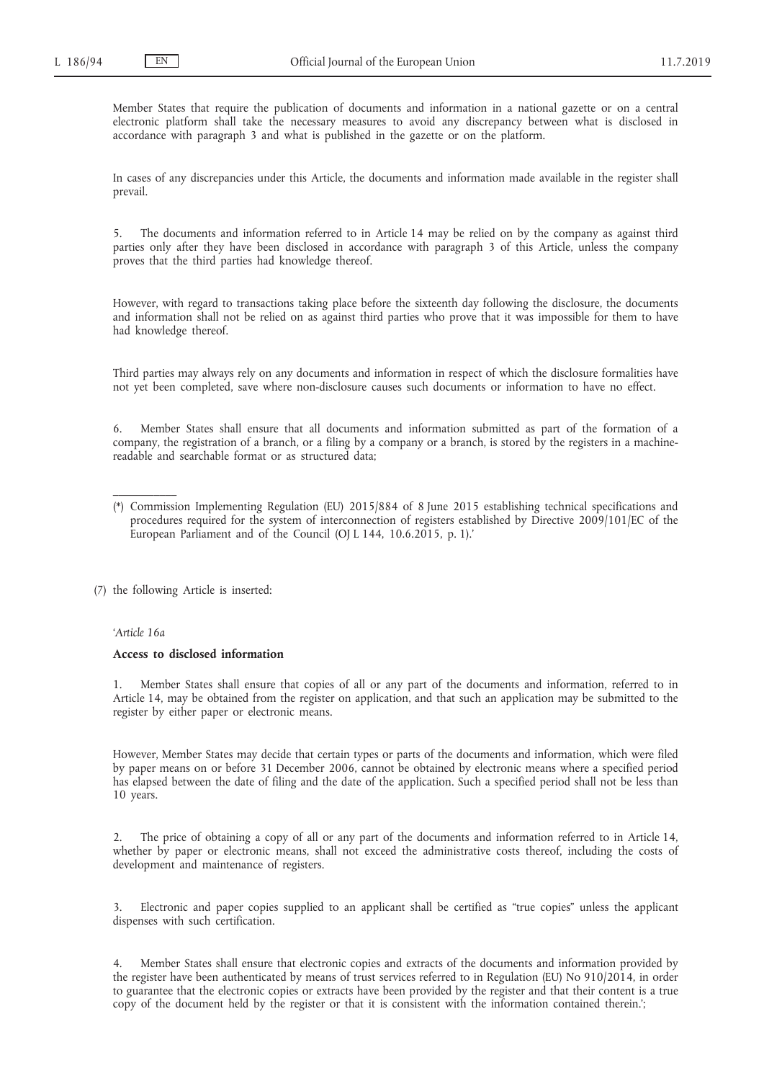Member States that require the publication of documents and information in a national gazette or on a central electronic platform shall take the necessary measures to avoid any discrepancy between what is disclosed in accordance with paragraph 3 and what is published in the gazette or on the platform.

In cases of any discrepancies under this Article, the documents and information made available in the register shall prevail.

5. The documents and information referred to in Article 14 may be relied on by the company as against third parties only after they have been disclosed in accordance with paragraph 3 of this Article, unless the company proves that the third parties had knowledge thereof.

However, with regard to transactions taking place before the sixteenth day following the disclosure, the documents and information shall not be relied on as against third parties who prove that it was impossible for them to have had knowledge thereof.

Third parties may always rely on any documents and information in respect of which the disclosure formalities have not yet been completed, save where non-disclosure causes such documents or information to have no effect.

6. Member States shall ensure that all documents and information submitted as part of the formation of a company, the registration of a branch, or a filing by a company or a branch, is stored by the registers in a machinereadable and searchable format or as structured data;

(7) the following Article is inserted:

#### *'Article 16a*

## **Access to disclosed information**

1. Member States shall ensure that copies of all or any part of the documents and information, referred to in Article 14, may be obtained from the register on application, and that such an application may be submitted to the register by either paper or electronic means.

However, Member States may decide that certain types or parts of the documents and information, which were filed by paper means on or before 31 December 2006, cannot be obtained by electronic means where a specified period has elapsed between the date of filing and the date of the application. Such a specified period shall not be less than 10 years.

2. The price of obtaining a copy of all or any part of the documents and information referred to in Article 14, whether by paper or electronic means, shall not exceed the administrative costs thereof, including the costs of development and maintenance of registers.

3. Electronic and paper copies supplied to an applicant shall be certified as "true copies" unless the applicant dispenses with such certification.

4. Member States shall ensure that electronic copies and extracts of the documents and information provided by the register have been authenticated by means of trust services referred to in Regulation (EU) No 910/2014, in order to guarantee that the electronic copies or extracts have been provided by the register and that their content is a true copy of the document held by the register or that it is consistent with the information contained therein.';

<sup>(\*)</sup> Commission Implementing Regulation (EU) 2015/884 of 8 June 2015 establishing technical specifications and procedures required for the system of interconnection of registers established by Directive 2009/101/EC of the European Parliament and of the Council (OJ L 144, 10.6.2015, p. 1).'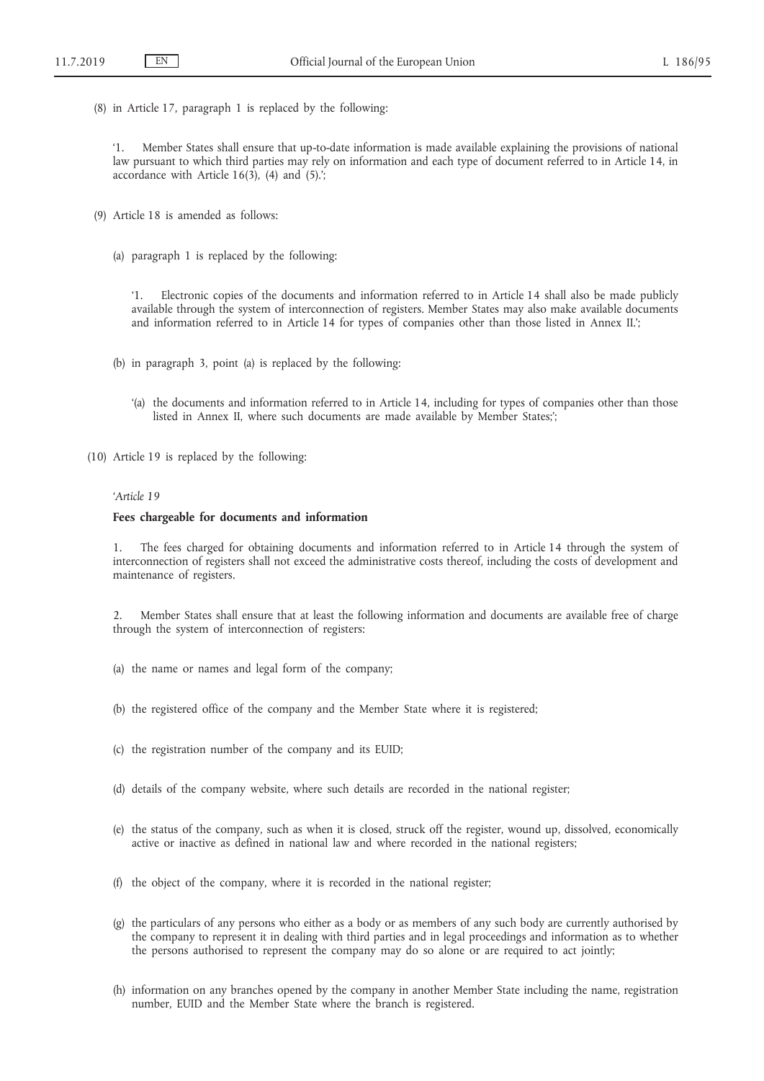(8) in Article 17, paragraph 1 is replaced by the following:

'1. Member States shall ensure that up-to-date information is made available explaining the provisions of national law pursuant to which third parties may rely on information and each type of document referred to in Article 14, in accordance with Article  $16(3)$ , (4) and (5).';

- (9) Article 18 is amended as follows:
	- (a) paragraph 1 is replaced by the following:

'1. Electronic copies of the documents and information referred to in Article 14 shall also be made publicly available through the system of interconnection of registers. Member States may also make available documents and information referred to in Article 14 for types of companies other than those listed in Annex II.';

(b) in paragraph 3, point (a) is replaced by the following:

- '(a) the documents and information referred to in Article 14, including for types of companies other than those listed in Annex II, where such documents are made available by Member States;';
- (10) Article 19 is replaced by the following:

#### *'Article 19*

#### **Fees chargeable for documents and information**

1. The fees charged for obtaining documents and information referred to in Article 14 through the system of interconnection of registers shall not exceed the administrative costs thereof, including the costs of development and maintenance of registers.

2. Member States shall ensure that at least the following information and documents are available free of charge through the system of interconnection of registers:

- (a) the name or names and legal form of the company;
- (b) the registered office of the company and the Member State where it is registered;
- (c) the registration number of the company and its EUID;
- (d) details of the company website, where such details are recorded in the national register;
- (e) the status of the company, such as when it is closed, struck off the register, wound up, dissolved, economically active or inactive as defined in national law and where recorded in the national registers;
- (f) the object of the company, where it is recorded in the national register;
- (g) the particulars of any persons who either as a body or as members of any such body are currently authorised by the company to represent it in dealing with third parties and in legal proceedings and information as to whether the persons authorised to represent the company may do so alone or are required to act jointly;
- (h) information on any branches opened by the company in another Member State including the name, registration number, EUID and the Member State where the branch is registered.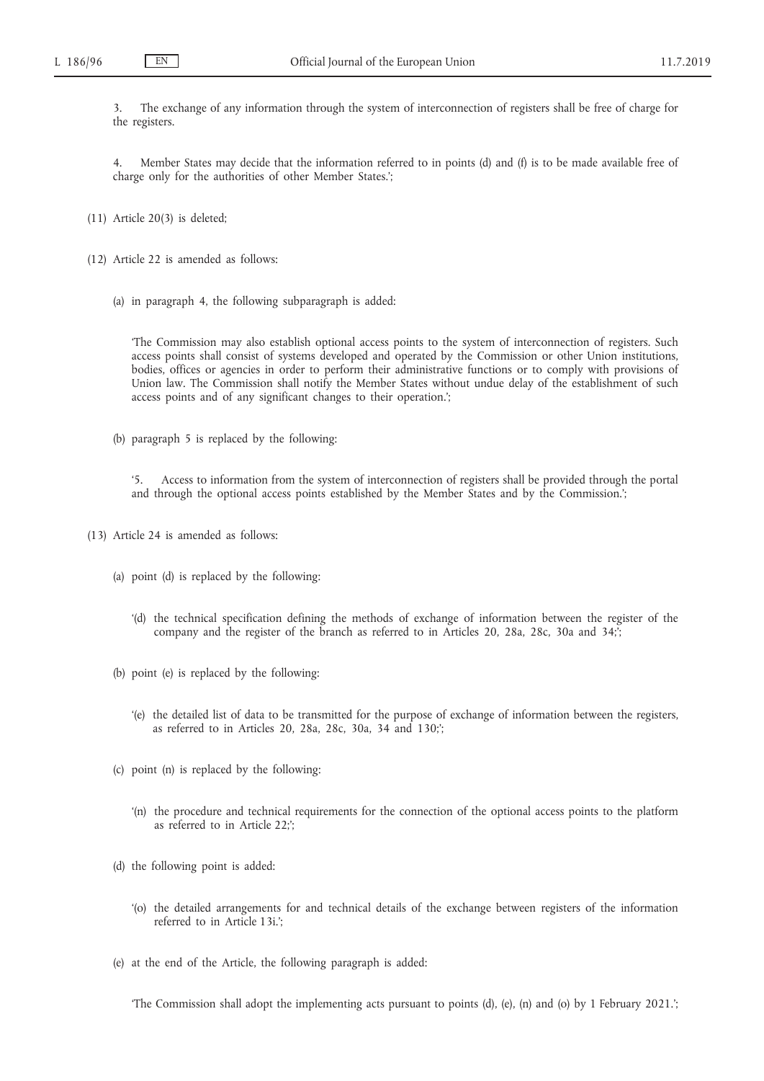3. The exchange of any information through the system of interconnection of registers shall be free of charge for the registers.

4. Member States may decide that the information referred to in points (d) and (f) is to be made available free of charge only for the authorities of other Member States.';

- (11) Article 20(3) is deleted;
- (12) Article 22 is amended as follows:
	- (a) in paragraph 4, the following subparagraph is added:

'The Commission may also establish optional access points to the system of interconnection of registers. Such access points shall consist of systems developed and operated by the Commission or other Union institutions, bodies, offices or agencies in order to perform their administrative functions or to comply with provisions of Union law. The Commission shall notify the Member States without undue delay of the establishment of such access points and of any significant changes to their operation.';

(b) paragraph 5 is replaced by the following:

'5. Access to information from the system of interconnection of registers shall be provided through the portal and through the optional access points established by the Member States and by the Commission.';

- (13) Article 24 is amended as follows:
	- (a) point (d) is replaced by the following:
		- '(d) the technical specification defining the methods of exchange of information between the register of the company and the register of the branch as referred to in Articles 20, 28a, 28c, 30a and 34;';
	- (b) point (e) is replaced by the following:
		- '(e) the detailed list of data to be transmitted for the purpose of exchange of information between the registers, as referred to in Articles 20, 28a, 28c, 30a, 34 and 130;';
	- (c) point (n) is replaced by the following:
		- '(n) the procedure and technical requirements for the connection of the optional access points to the platform as referred to in Article 22;';
	- (d) the following point is added:
		- '(o) the detailed arrangements for and technical details of the exchange between registers of the information referred to in Article 13i.';
	- (e) at the end of the Article, the following paragraph is added:

'The Commission shall adopt the implementing acts pursuant to points (d), (e), (n) and (o) by 1 February 2021.';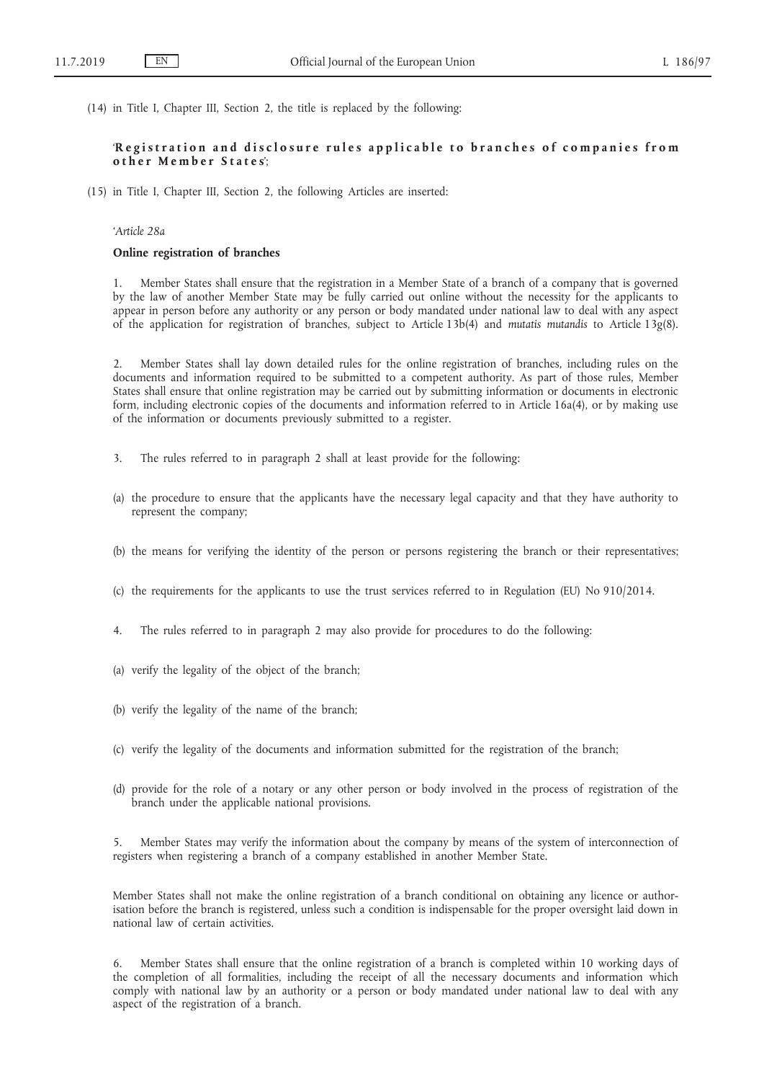(14) in Title I, Chapter III, Section 2, the title is replaced by the following:

# Registration and disclosure rules applicable to branches of companies from **o t h e r M e m b e r S t a t e s**';

(15) in Title I, Chapter III, Section 2, the following Articles are inserted:

## *'Article 28a*

#### **Online registration of branches**

1. Member States shall ensure that the registration in a Member State of a branch of a company that is governed by the law of another Member State may be fully carried out online without the necessity for the applicants to appear in person before any authority or any person or body mandated under national law to deal with any aspect of the application for registration of branches, subject to Article 13b(4) and *mutatis mutandis* to Article 13g(8).

2. Member States shall lay down detailed rules for the online registration of branches, including rules on the documents and information required to be submitted to a competent authority. As part of those rules, Member States shall ensure that online registration may be carried out by submitting information or documents in electronic form, including electronic copies of the documents and information referred to in Article 16a(4), or by making use of the information or documents previously submitted to a register.

- 3. The rules referred to in paragraph 2 shall at least provide for the following:
- (a) the procedure to ensure that the applicants have the necessary legal capacity and that they have authority to represent the company;
- (b) the means for verifying the identity of the person or persons registering the branch or their representatives;
- (c) the requirements for the applicants to use the trust services referred to in Regulation (EU) No 910/2014.
- 4. The rules referred to in paragraph 2 may also provide for procedures to do the following:
- (a) verify the legality of the object of the branch;
- (b) verify the legality of the name of the branch;
- (c) verify the legality of the documents and information submitted for the registration of the branch;
- (d) provide for the role of a notary or any other person or body involved in the process of registration of the branch under the applicable national provisions.

5. Member States may verify the information about the company by means of the system of interconnection of registers when registering a branch of a company established in another Member State.

Member States shall not make the online registration of a branch conditional on obtaining any licence or authorisation before the branch is registered, unless such a condition is indispensable for the proper oversight laid down in national law of certain activities.

6. Member States shall ensure that the online registration of a branch is completed within 10 working days of the completion of all formalities, including the receipt of all the necessary documents and information which comply with national law by an authority or a person or body mandated under national law to deal with any aspect of the registration of a branch.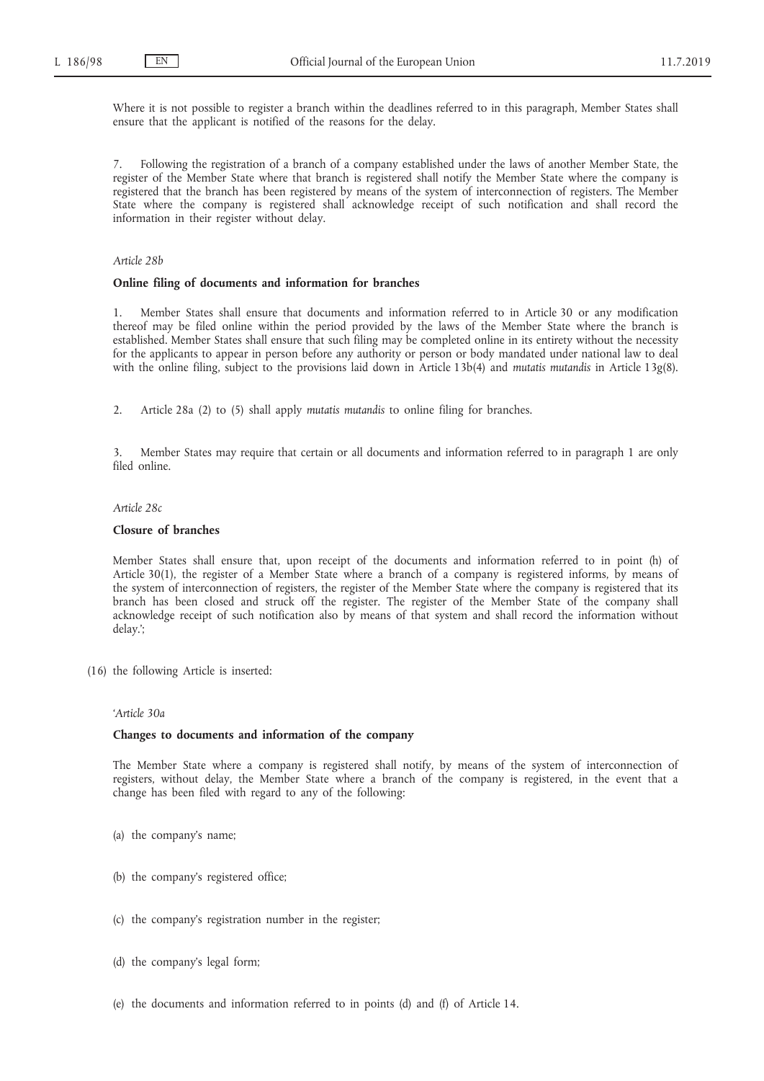Where it is not possible to register a branch within the deadlines referred to in this paragraph, Member States shall ensure that the applicant is notified of the reasons for the delay.

7. Following the registration of a branch of a company established under the laws of another Member State, the register of the Member State where that branch is registered shall notify the Member State where the company is registered that the branch has been registered by means of the system of interconnection of registers. The Member State where the company is registered shall acknowledge receipt of such notification and shall record the information in their register without delay.

*Article 28b*

#### **Online filing of documents and information for branches**

1. Member States shall ensure that documents and information referred to in Article 30 or any modification thereof may be filed online within the period provided by the laws of the Member State where the branch is established. Member States shall ensure that such filing may be completed online in its entirety without the necessity for the applicants to appear in person before any authority or person or body mandated under national law to deal with the online filing, subject to the provisions laid down in Article 13b(4) and *mutatis mutandis* in Article 13g(8).

2. Article 28a (2) to (5) shall apply *mutatis mutandis* to online filing for branches.

3. Member States may require that certain or all documents and information referred to in paragraph 1 are only filed online.

#### *Article 28c*

## **Closure of branches**

Member States shall ensure that, upon receipt of the documents and information referred to in point (h) of Article 30(1), the register of a Member State where a branch of a company is registered informs, by means of the system of interconnection of registers, the register of the Member State where the company is registered that its branch has been closed and struck off the register. The register of the Member State of the company shall acknowledge receipt of such notification also by means of that system and shall record the information without delay.';

(16) the following Article is inserted:

#### *'Article 30a*

#### **Changes to documents and information of the company**

The Member State where a company is registered shall notify, by means of the system of interconnection of registers, without delay, the Member State where a branch of the company is registered, in the event that a change has been filed with regard to any of the following:

- (a) the company's name;
- (b) the company's registered office;
- (c) the company's registration number in the register;
- (d) the company's legal form;
- (e) the documents and information referred to in points (d) and (f) of Article 14.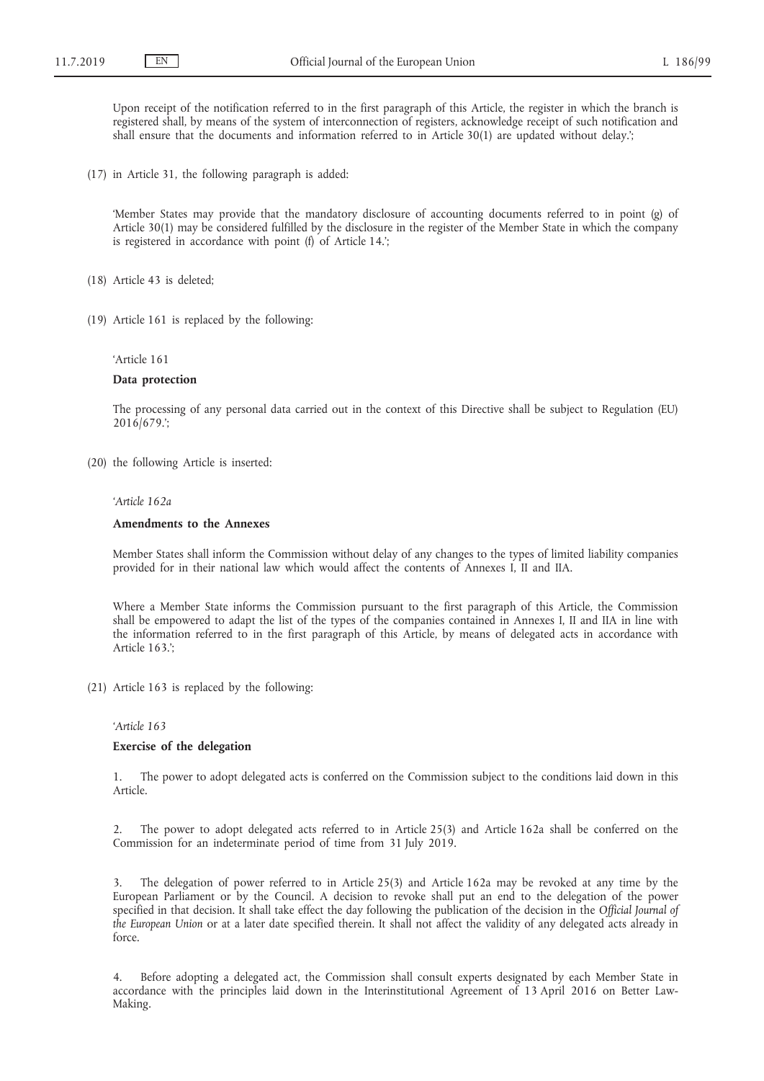Upon receipt of the notification referred to in the first paragraph of this Article, the register in which the branch is registered shall, by means of the system of interconnection of registers, acknowledge receipt of such notification and shall ensure that the documents and information referred to in Article 30(1) are updated without delay.';

(17) in Article 31, the following paragraph is added:

'Member States may provide that the mandatory disclosure of accounting documents referred to in point (g) of Article 30(1) may be considered fulfilled by the disclosure in the register of the Member State in which the company is registered in accordance with point (f) of Article 14.';

- (18) Article 43 is deleted;
- (19) Article 161 is replaced by the following:

'Article 161

#### **Data protection**

The processing of any personal data carried out in the context of this Directive shall be subject to Regulation (EU) 2016/679.';

(20) the following Article is inserted:

#### *'Article 162a*

## **Amendments to the Annexes**

Member States shall inform the Commission without delay of any changes to the types of limited liability companies provided for in their national law which would affect the contents of Annexes I, II and IIA.

Where a Member State informs the Commission pursuant to the first paragraph of this Article, the Commission shall be empowered to adapt the list of the types of the companies contained in Annexes I, II and IIA in line with the information referred to in the first paragraph of this Article, by means of delegated acts in accordance with Article 163.';

(21) Article 163 is replaced by the following:

### *'Article 163*

## **Exercise of the delegation**

1. The power to adopt delegated acts is conferred on the Commission subject to the conditions laid down in this Article.

2. The power to adopt delegated acts referred to in Article 25(3) and Article 162a shall be conferred on the Commission for an indeterminate period of time from 31 July 2019.

The delegation of power referred to in Article 25(3) and Article 162a may be revoked at any time by the European Parliament or by the Council. A decision to revoke shall put an end to the delegation of the power specified in that decision. It shall take effect the day following the publication of the decision in the *Official Journal of the European Union* or at a later date specified therein. It shall not affect the validity of any delegated acts already in force.

4. Before adopting a delegated act, the Commission shall consult experts designated by each Member State in accordance with the principles laid down in the Interinstitutional Agreement of 13 April 2016 on Better Law-Making.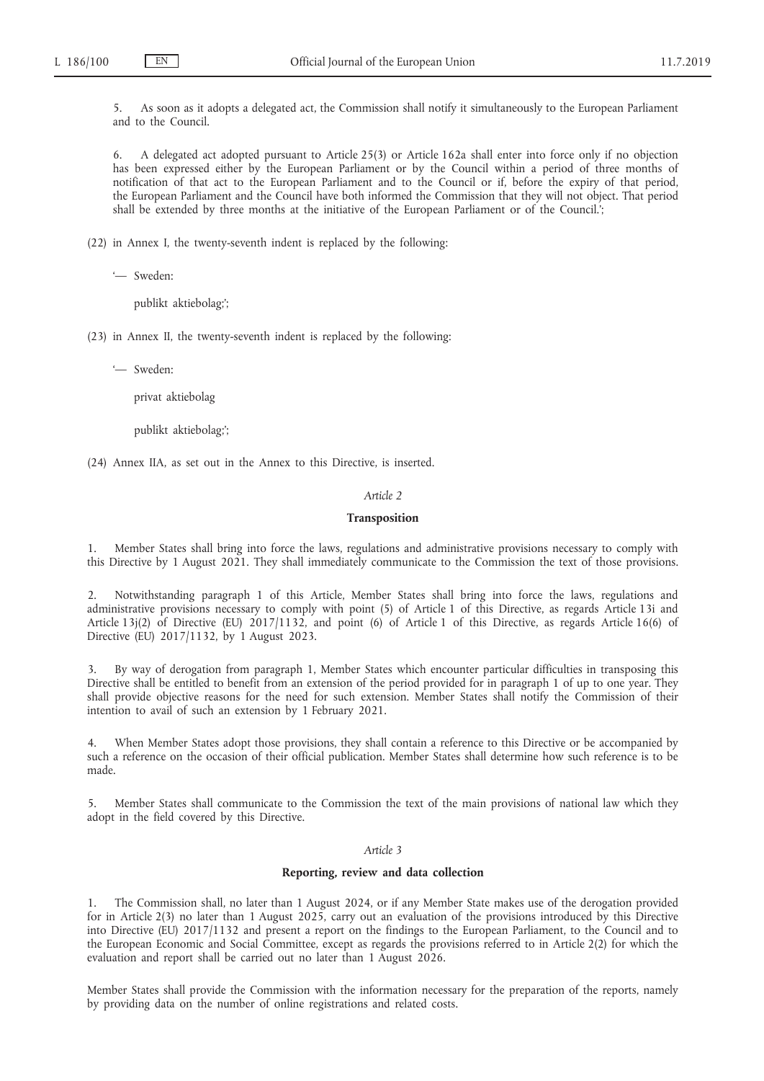5. As soon as it adopts a delegated act, the Commission shall notify it simultaneously to the European Parliament and to the Council.

6. A delegated act adopted pursuant to Article 25(3) or Article 162a shall enter into force only if no objection has been expressed either by the European Parliament or by the Council within a period of three months of notification of that act to the European Parliament and to the Council or if, before the expiry of that period, the European Parliament and the Council have both informed the Commission that they will not object. That period shall be extended by three months at the initiative of the European Parliament or of the Council.';

(22) in Annex I, the twenty-seventh indent is replaced by the following:

'— Sweden:

publikt aktiebolag;';

(23) in Annex II, the twenty-seventh indent is replaced by the following:

'— Sweden:

privat aktiebolag

publikt aktiebolag;';

(24) Annex IIA, as set out in the Annex to this Directive, is inserted.

#### *Article 2*

## **Transposition**

1. Member States shall bring into force the laws, regulations and administrative provisions necessary to comply with this Directive by 1 August 2021. They shall immediately communicate to the Commission the text of those provisions.

2. Notwithstanding paragraph 1 of this Article, Member States shall bring into force the laws, regulations and administrative provisions necessary to comply with point (5) of Article 1 of this Directive, as regards Article 13i and Article 13j(2) of Directive (EU) 2017/1132, and point (6) of Article 1 of this Directive, as regards Article 16(6) of Directive (EU) 2017/1132, by 1 August 2023.

By way of derogation from paragraph 1, Member States which encounter particular difficulties in transposing this Directive shall be entitled to benefit from an extension of the period provided for in paragraph 1 of up to one year. They shall provide objective reasons for the need for such extension. Member States shall notify the Commission of their intention to avail of such an extension by 1 February 2021.

4. When Member States adopt those provisions, they shall contain a reference to this Directive or be accompanied by such a reference on the occasion of their official publication. Member States shall determine how such reference is to be made.

5. Member States shall communicate to the Commission the text of the main provisions of national law which they adopt in the field covered by this Directive.

## *Article 3*

## **Reporting, review and data collection**

1. The Commission shall, no later than 1 August 2024, or if any Member State makes use of the derogation provided for in Article 2(3) no later than 1 August 2025, carry out an evaluation of the provisions introduced by this Directive into Directive (EU) 2017/1132 and present a report on the findings to the European Parliament, to the Council and to the European Economic and Social Committee, except as regards the provisions referred to in Article 2(2) for which the evaluation and report shall be carried out no later than 1 August 2026.

Member States shall provide the Commission with the information necessary for the preparation of the reports, namely by providing data on the number of online registrations and related costs.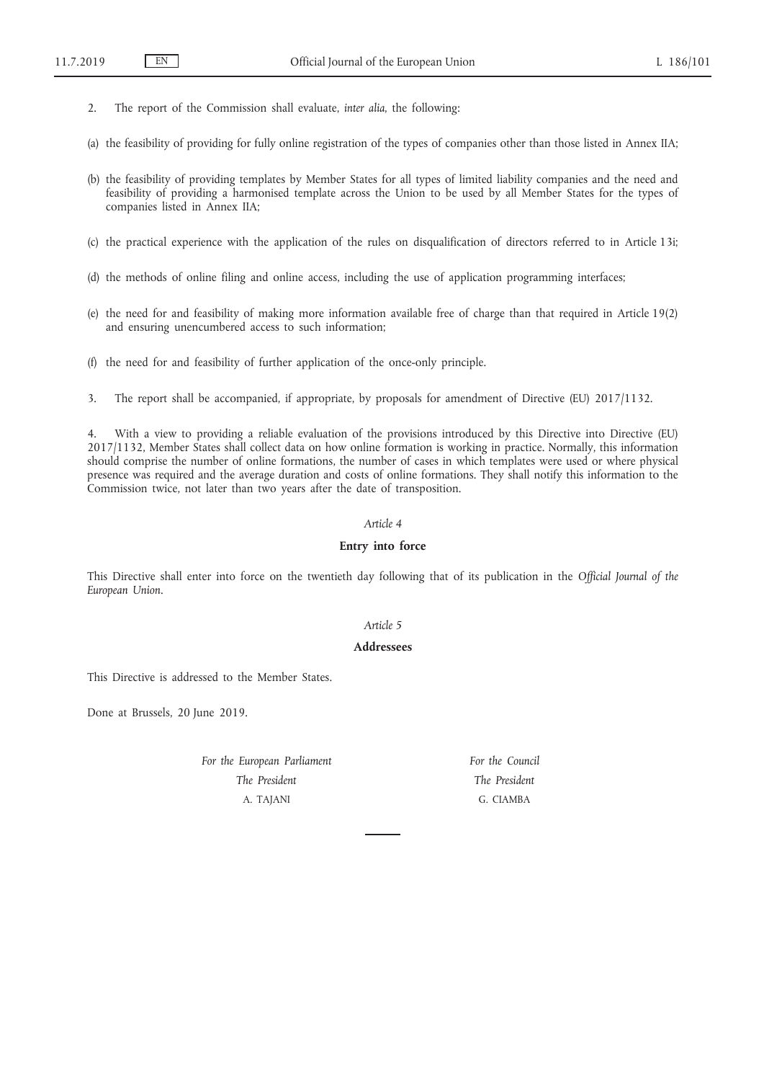- 2. The report of the Commission shall evaluate, *inter alia*, the following:
- (a) the feasibility of providing for fully online registration of the types of companies other than those listed in Annex IIA;
- (b) the feasibility of providing templates by Member States for all types of limited liability companies and the need and feasibility of providing a harmonised template across the Union to be used by all Member States for the types of companies listed in Annex IIA;
- (c) the practical experience with the application of the rules on disqualification of directors referred to in Article 13i;
- (d) the methods of online filing and online access, including the use of application programming interfaces;
- (e) the need for and feasibility of making more information available free of charge than that required in Article 19(2) and ensuring unencumbered access to such information;
- (f) the need for and feasibility of further application of the once-only principle.
- 3. The report shall be accompanied, if appropriate, by proposals for amendment of Directive (EU) 2017/1132.

4. With a view to providing a reliable evaluation of the provisions introduced by this Directive into Directive (EU) 2017/1132, Member States shall collect data on how online formation is working in practice. Normally, this information should comprise the number of online formations, the number of cases in which templates were used or where physical presence was required and the average duration and costs of online formations. They shall notify this information to the Commission twice, not later than two years after the date of transposition.

#### *Article 4*

#### **Entry into force**

This Directive shall enter into force on the twentieth day following that of its publication in the *Official Journal of the European Union*.

#### *Article 5*

#### **Addressees**

This Directive is addressed to the Member States.

Done at Brussels, 20 June 2019.

*For the European Parliament The President* A. TAJANI

*For the Council The President* G. CIAMBA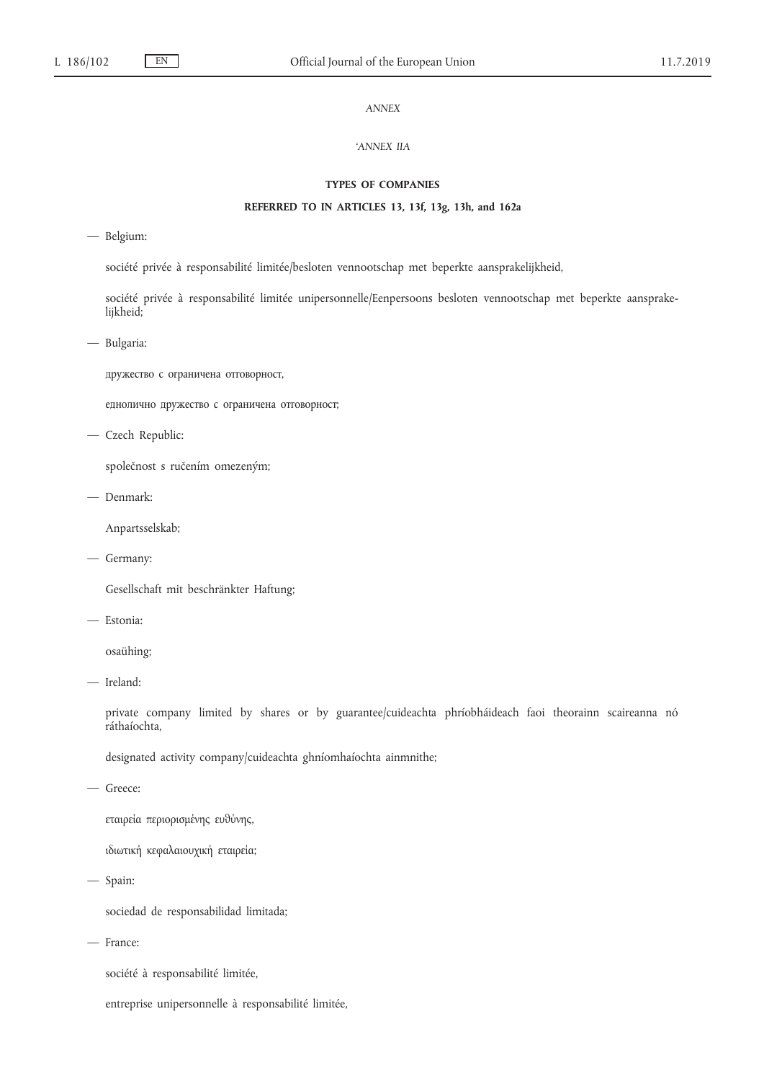## *ANNEX*

# *'ANNEX IIA*

# **TYPES OF COMPANIES**

# **REFERRED TO IN ARTICLES 13, 13f, 13g, 13h, and 162a**

- Belgium:
	- société privée à responsabilité limitée/besloten vennootschap met beperkte aansprakelijkheid,

société privée à responsabilité limitée unipersonnelle/Eenpersoons besloten vennootschap met beperkte aansprakelijkheid;

— Bulgaria:

дружество с ограничена отговорност,

еднолично дружество с ограничена отговорност;

— Czech Republic:

společnost s ručením omezeným;

— Denmark:

Anpartsselskab;

— Germany:

Gesellschaft mit beschränkter Haftung;

— Estonia:

osaühing;

— Ireland:

private company limited by shares or by guarantee/cuideachta phríobháideach faoi theorainn scaireanna nó ráthaíochta,

designated activity company/cuideachta ghníomhaíochta ainmnithe;

— Greece:

εταιρεία περιορισμένης ευθύνης,

ιδιωτική κεφαλαιουχική εταιρεία;

— Spain:

sociedad de responsabilidad limitada;

— France:

société à responsabilité limitée,

entreprise unipersonnelle à responsabilité limitée,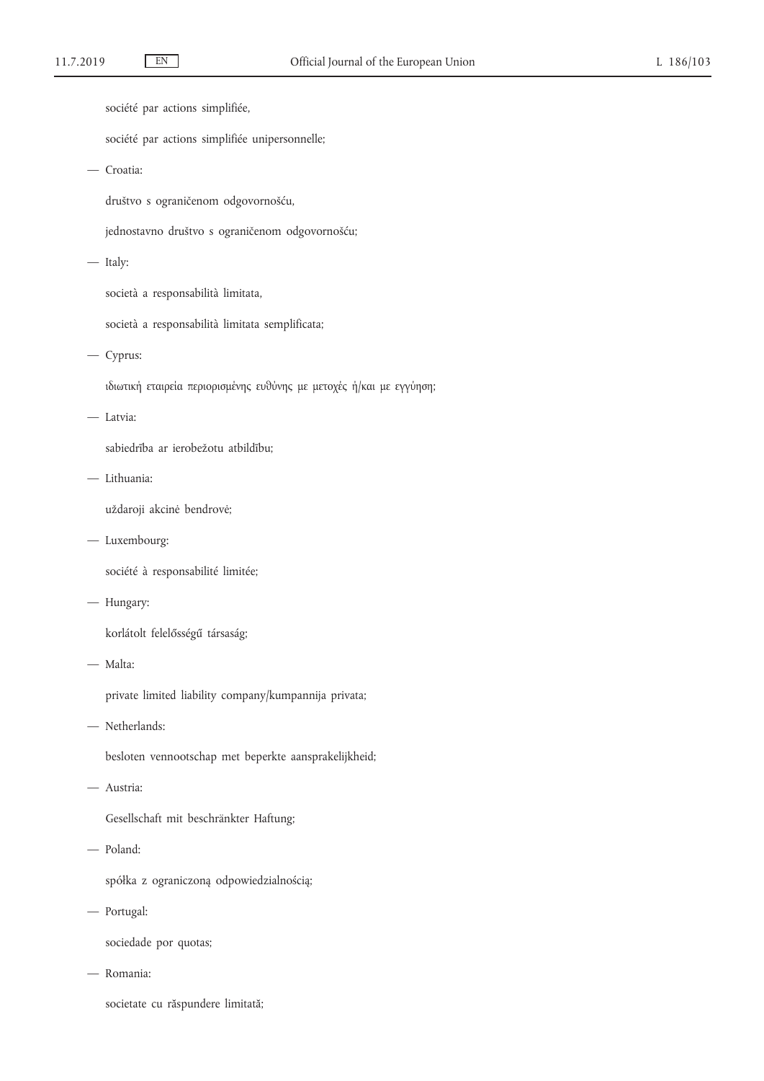société par actions simplifiée,

société par actions simplifiée unipersonnelle;

— Croatia:

društvo s ograničenom odgovornošću,

jednostavno društvo s ograničenom odgovornošću;

— Italy:

società a responsabilità limitata,

società a responsabilità limitata semplificata;

— Cyprus:

ιδιωτική εταιρεία περιορισμένης ευθύνης με μετοχές ή/και με εγγύηση;

— Latvia:

sabiedrība ar ierobežotu atbildību;

— Lithuania:

uždaroji akcinė bendrovė;

— Luxembourg:

société à responsabilité limitée;

— Hungary:

korlátolt felelősségű társaság;

— Malta:

private limited liability company/kumpannija privata;

— Netherlands:

besloten vennootschap met beperkte aansprakelijkheid;

— Austria:

Gesellschaft mit beschränkter Haftung;

— Poland:

spółka z ograniczoną odpowiedzialnością;

— Portugal:

sociedade por quotas;

— Romania:

societate cu răspundere limitată;